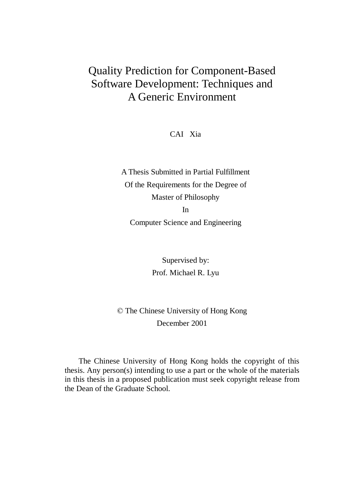### Quality Prediction for Component-Based Software Development: Techniques and A Generic Environment

CAI Xia

A Thesis Submitted in Partial Fulfillment Of the Requirements for the Degree of Master of Philosophy In Computer Science and Engineering

> Supervised by: Prof. Michael R. Lyu

© The Chinese University of Hong Kong December 2001

 The Chinese University of Hong Kong holds the copyright of this thesis. Any person(s) intending to use a part or the whole of the materials in this thesis in a proposed publication must seek copyright release from the Dean of the Graduate School.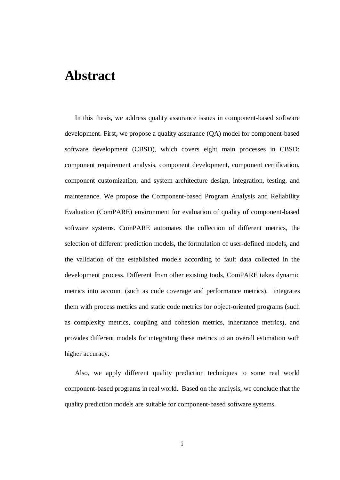# **Abstract**

In this thesis, we address quality assurance issues in component-based software development. First, we propose a quality assurance (QA) model for component-based software development (CBSD), which covers eight main processes in CBSD: component requirement analysis, component development, component certification, component customization, and system architecture design, integration, testing, and maintenance. We propose the Component-based Program Analysis and Reliability Evaluation (ComPARE) environment for evaluation of quality of component-based software systems. ComPARE automates the collection of different metrics, the selection of different prediction models, the formulation of user-defined models, and the validation of the established models according to fault data collected in the development process. Different from other existing tools, ComPARE takes dynamic metrics into account (such as code coverage and performance metrics), integrates them with process metrics and static code metrics for object-oriented programs (such as complexity metrics, coupling and cohesion metrics, inheritance metrics), and provides different models for integrating these metrics to an overall estimation with higher accuracy.

Also, we apply different quality prediction techniques to some real world component-based programs in real world. Based on the analysis, we conclude that the quality prediction models are suitable for component-based software systems.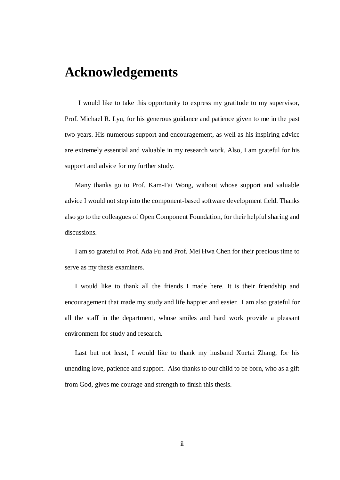## **Acknowledgements**

I would like to take this opportunity to express my gratitude to my supervisor, Prof. Michael R. Lyu, for his generous guidance and patience given to me in the past two years. His numerous support and encouragement, as well as his inspiring advice are extremely essential and valuable in my research work. Also, I am grateful for his support and advice for my further study.

Many thanks go to Prof. Kam-Fai Wong, without whose support and valuable advice I would not step into the component-based software development field. Thanks also go to the colleagues of Open Component Foundation, for their helpful sharing and discussions.

I am so grateful to Prof. Ada Fu and Prof. Mei Hwa Chen for their precious time to serve as my thesis examiners.

I would like to thank all the friends I made here. It is their friendship and encouragement that made my study and life happier and easier. I am also grateful for all the staff in the department, whose smiles and hard work provide a pleasant environment for study and research.

Last but not least, I would like to thank my husband Xuetai Zhang, for his unending love, patience and support. Also thanks to our child to be born, who as a gift from God, gives me courage and strength to finish this thesis.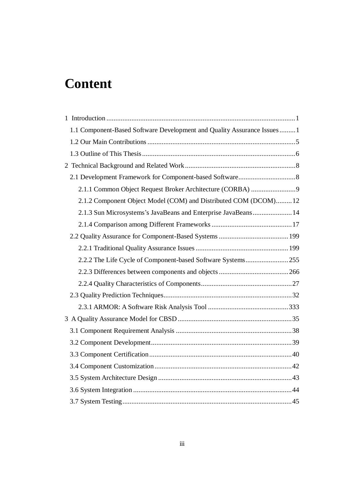# **Content**

| 1.1 Component-Based Software Development and Quality Assurance Issues  1 |  |
|--------------------------------------------------------------------------|--|
|                                                                          |  |
|                                                                          |  |
|                                                                          |  |
|                                                                          |  |
|                                                                          |  |
| 2.1.2 Component Object Model (COM) and Distributed COM (DCOM)12          |  |
| 2.1.3 Sun Microsystems's JavaBeans and Enterprise JavaBeans 14           |  |
|                                                                          |  |
|                                                                          |  |
|                                                                          |  |
| 2.2.2 The Life Cycle of Component-based Software Systems 255             |  |
|                                                                          |  |
|                                                                          |  |
|                                                                          |  |
|                                                                          |  |
|                                                                          |  |
|                                                                          |  |
|                                                                          |  |
|                                                                          |  |
|                                                                          |  |
|                                                                          |  |
|                                                                          |  |
|                                                                          |  |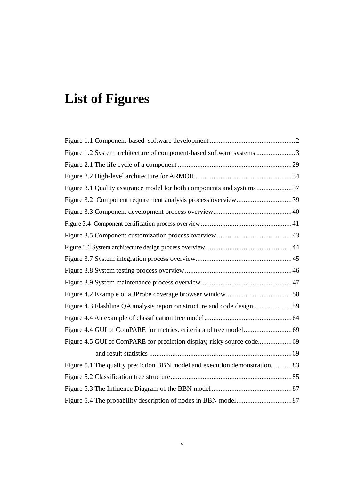# **List of Figures**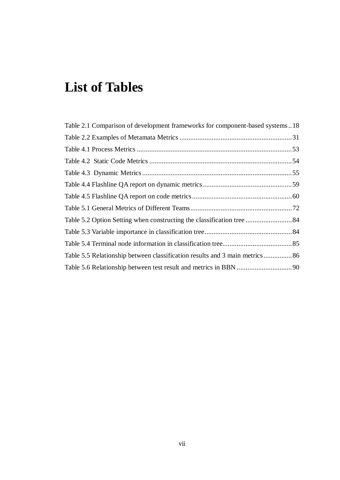# **List of Tables**

| Table 2.1 Comparison of development frameworks for component-based systems18 |  |
|------------------------------------------------------------------------------|--|
|                                                                              |  |
|                                                                              |  |
|                                                                              |  |
|                                                                              |  |
|                                                                              |  |
|                                                                              |  |
|                                                                              |  |
|                                                                              |  |
|                                                                              |  |
|                                                                              |  |
| Table 5.5 Relationship between classification results and 3 main metrics 86  |  |
|                                                                              |  |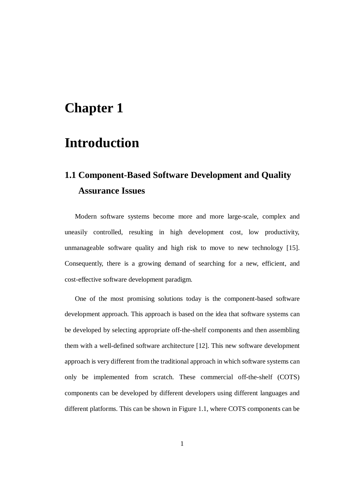# **Chapter 1**

# **Introduction**

## **1.1 Component-Based Software Development and Quality Assurance Issues**

Modern software systems become more and more large-scale, complex and uneasily controlled, resulting in high development cost, low productivity, unmanageable software quality and high risk to move to new technology [15]. Consequently, there is a growing demand of searching for a new, efficient, and cost-effective software development paradigm.

One of the most promising solutions today is the component-based software development approach. This approach is based on the idea that software systems can be developed by selecting appropriate off-the-shelf components and then assembling them with a well-defined software architecture [12]. This new software development approach is very different from the traditional approach in which software systems can only be implemented from scratch. These commercial off-the-shelf (COTS) components can be developed by different developers using different languages and different platforms. This can be shown in Figure 1.1, where COTS components can be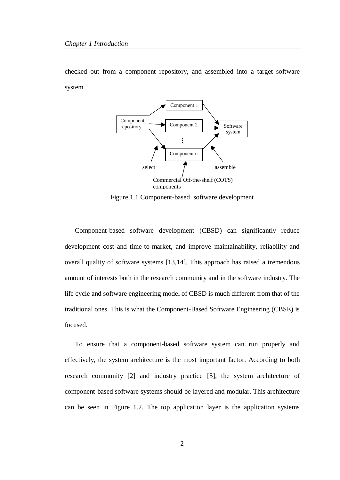checked out from a component repository, and assembled into a target software system.



Figure 1.1 Component-based software development

Component-based software development (CBSD) can significantly reduce development cost and time-to-market, and improve maintainability, reliability and overall quality of software systems [13,14]. This approach has raised a tremendous amount of interests both in the research community and in the software industry. The life cycle and software engineering model of CBSD is much different from that of the traditional ones. This is what the Component-Based Software Engineering (CBSE) is focused.

To ensure that a component-based software system can run properly and effectively, the system architecture is the most important factor. According to both research community [2] and industry practice [5], the system architecture of component-based software systems should be layered and modular. This architecture can be seen in Figure 1.2. The top application layer is the application systems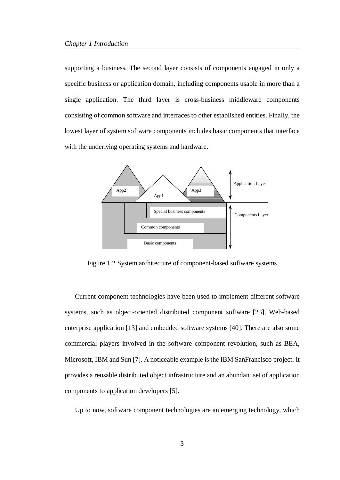supporting a business. The second layer consists of components engaged in only a specific business or application domain, including components usable in more than a single application. The third layer is cross-business middleware components consisting of common software and interfaces to other established entities. Finally, the lowest layer of system software components includes basic components that interface with the underlying operating systems and hardware.



Figure 1.2 System architecture of component-based software systems

Current component technologies have been used to implement different software systems, such as object-oriented distributed component software [23], Web-based enterprise application [13] and embedded software systems [40]. There are also some commercial players involved in the software component revolution, such as BEA, Microsoft, IBM and Sun [7]. A noticeable example is the IBM SanFrancisco project. It provides a reusable distributed object infrastructure and an abundant set of application components to application developers [5].

Up to now, software component technologies are an emerging technology, which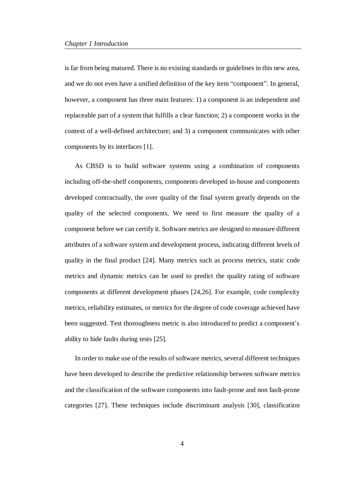is far from being matured. There is no existing standards or guidelines in this new area, and we do not even have a unified definition of the key item "component". In general, however, a component has three main features: 1) a component is an independent and replaceable part of a system that fulfills a clear function; 2) a component works in the context of a well-defined architecture; and 3) a component communicates with other components by its interfaces [1].

As CBSD is to build software systems using a combination of components including off-the-shelf components, components developed in-house and components developed contractually, the over quality of the final system greatly depends on the quality of the selected components. We need to first measure the quality of a component before we can certify it. Software metrics are designed to measure different attributes of a software system and development process, indicating different levels of quality in the final product [24]. Many metrics such as process metrics, static code metrics and dynamic metrics can be used to predict the quality rating of software components at different development phases [24,26]. For example, code complexity metrics, reliability estimates, or metrics for the degree of code coverage achieved have been suggested. Test thoroughness metric is also introduced to predict a component's ability to hide faults during tests [25].

In order to make use of the results of software metrics, several different techniques have been developed to describe the predictive relationship between software metrics and the classification of the software components into fault-prone and non fault-prone categories [27]. These techniques include discriminant analysis [30], classification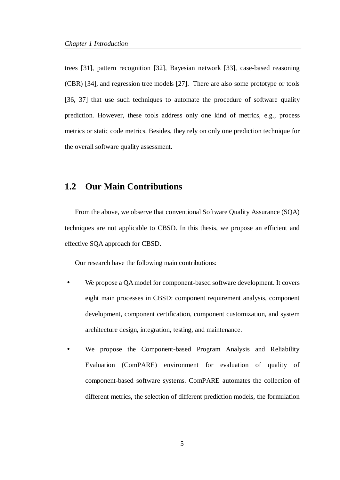trees [31], pattern recognition [32], Bayesian network [33], case-based reasoning (CBR) [34], and regression tree models [27]. There are also some prototype or tools [36, 37] that use such techniques to automate the procedure of software quality prediction. However, these tools address only one kind of metrics, e.g., process metrics or static code metrics. Besides, they rely on only one prediction technique for the overall software quality assessment.

#### **1.2 Our Main Contributions**

From the above, we observe that conventional Software Quality Assurance (SQA) techniques are not applicable to CBSD. In this thesis, we propose an efficient and effective SQA approach for CBSD.

Our research have the following main contributions:

- We propose a QA model for component-based software development. It covers eight main processes in CBSD: component requirement analysis, component development, component certification, component customization, and system architecture design, integration, testing, and maintenance.
- We propose the Component-based Program Analysis and Reliability Evaluation (ComPARE) environment for evaluation of quality of component-based software systems. ComPARE automates the collection of different metrics, the selection of different prediction models, the formulation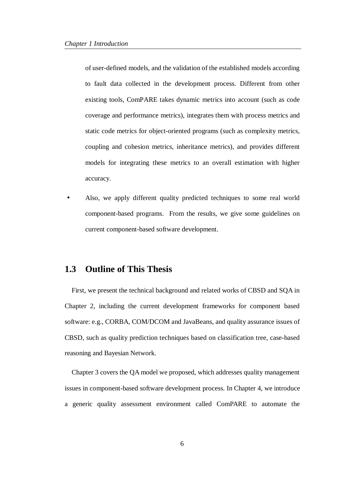of user-defined models, and the validation of the established models according to fault data collected in the development process. Different from other existing tools, ComPARE takes dynamic metrics into account (such as code coverage and performance metrics), integrates them with process metrics and static code metrics for object-oriented programs (such as complexity metrics, coupling and cohesion metrics, inheritance metrics), and provides different models for integrating these metrics to an overall estimation with higher accuracy.

Also, we apply different quality predicted techniques to some real world component-based programs. From the results, we give some guidelines on current component-based software development.

#### **1.3 Outline of This Thesis**

First, we present the technical background and related works of CBSD and SQA in Chapter 2, including the current development frameworks for component based software: e.g., CORBA, COM/DCOM and JavaBeans, and quality assurance issues of CBSD, such as quality prediction techniques based on classification tree, case-based reasoning and Bayesian Network.

Chapter 3 covers the QA model we proposed, which addresses quality management issues in component-based software development process. In Chapter 4, we introduce a generic quality assessment environment called ComPARE to automate the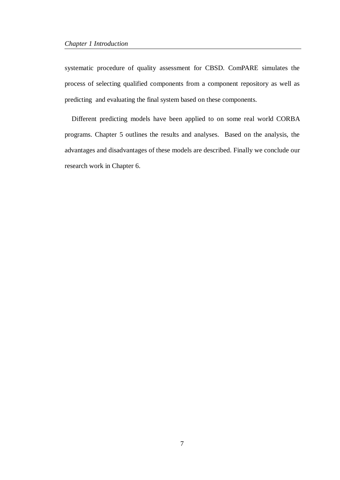systematic procedure of quality assessment for CBSD. ComPARE simulates the process of selecting qualified components from a component repository as well as predicting and evaluating the final system based on these components.

Different predicting models have been applied to on some real world CORBA programs. Chapter 5 outlines the results and analyses. Based on the analysis, the advantages and disadvantages of these models are described. Finally we conclude our research work in Chapter 6.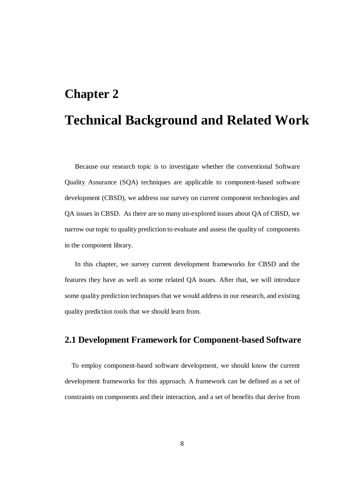# **Chapter 2 Technical Background and Related Work**

Because our research topic is to investigate whether the conventional Software Quality Assurance (SQA) techniques are applicable to component-based software development (CBSD), we address our survey on current component technologies and QA issues in CBSD. As there are so many un-explored issues about QA of CBSD, we narrow our topic to quality prediction to evaluate and assess the quality of components in the component library.

In this chapter, we survey current development frameworks for CBSD and the features they have as well as some related QA issues. After that, we will introduce some quality prediction techniques that we would address in our research, and existing quality prediction tools that we should learn from.

#### **2.1 Development Framework for Component-based Software**

To employ component-based software development, we should know the current development frameworks for this approach. A framework can be defined as a set of constraints on components and their interaction, and a set of benefits that derive from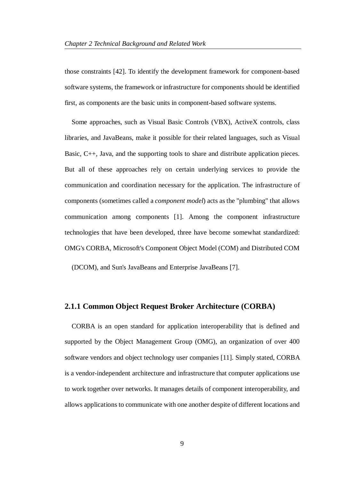those constraints [42]. To identify the development framework for component-based software systems, the framework or infrastructure for components should be identified first, as components are the basic units in component-based software systems.

Some approaches, such as Visual Basic Controls (VBX), ActiveX controls, class libraries, and JavaBeans, make it possible for their related languages, such as Visual Basic, C++, Java, and the supporting tools to share and distribute application pieces. But all of these approaches rely on certain underlying services to provide the communication and coordination necessary for the application. The infrastructure of components (sometimes called a *component model*) acts as the "plumbing" that allows communication among components [1]. Among the component infrastructure technologies that have been developed, three have become somewhat standardized: OMG's CORBA, Microsoft's Component Object Model (COM) and Distributed COM

(DCOM), and Sun's JavaBeans and Enterprise JavaBeans [7].

#### **2.1.1 Common Object Request Broker Architecture (CORBA)**

CORBA is an open standard for application interoperability that is defined and supported by the Object Management Group (OMG), an organization of over 400 software vendors and object technology user companies [11]. Simply stated, CORBA is a vendor-independent architecture and infrastructure that computer applications use to work together over networks. It manages details of component interoperability, and allows applications to communicate with one another despite of different locations and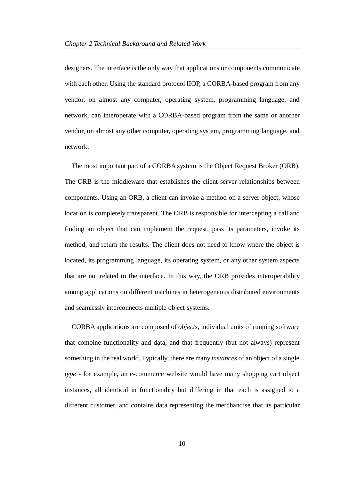designers. The interface is the only way that applications or components communicate with each other. Using the standard protocol IIOP, a CORBA-based program from any vendor, on almost any computer, operating system, programming language, and network, can interoperate with a CORBA-based program from the same or another vendor, on almost any other computer, operating system, programming language, and network.

The most important part of a CORBA system is the Object Request Broker (ORB). The ORB is the middleware that establishes the client-server relationships between components. Using an ORB, a client can invoke a method on a server object, whose location is completely transparent. The ORB is responsible for intercepting a call and finding an object that can implement the request, pass its parameters, invoke its method, and return the results. The client does not need to know where the object is located, its programming language, its operating system, or any other system aspects that are not related to the interface. In this way, the ORB provides interoperability among applications on different machines in heterogeneous distributed environments and seamlessly interconnects multiple object systems.

CORBA applications are composed of *objects*, individual units of running software that combine functionality and data, and that frequently (but not always) represent something in the real world. Typically, there are many *instances* of an object of a single *type* - for example, an e-commerce website would have many shopping cart object instances, all identical in functionality but differing in that each is assigned to a different customer, and contains data representing the merchandise that its particular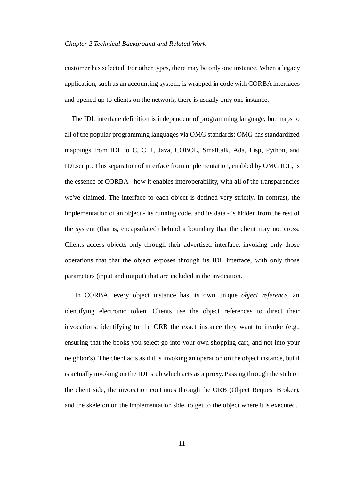customer has selected. For other types, there may be only one instance. When a legacy application, such as an accounting system, is wrapped in code with CORBA interfaces and opened up to clients on the network, there is usually only one instance.

The IDL interface definition is independent of programming language, but maps to all of the popular programming languages via OMG standards: OMG has standardized mappings from IDL to C, C++, Java, COBOL, Smalltalk, Ada, Lisp, Python, and IDLscript. This separation of interface from implementation, enabled by OMG IDL, is the essence of CORBA - how it enables interoperability, with all of the transparencies we've claimed. The interface to each object is defined very strictly. In contrast, the implementation of an object - its running code, and its data - is hidden from the rest of the system (that is, encapsulated) behind a boundary that the client may not cross. Clients access objects only through their advertised interface, invoking only those operations that that the object exposes through its IDL interface, with only those parameters (input and output) that are included in the invocation.

In CORBA, every object instance has its own unique *object reference*, an identifying electronic token. Clients use the object references to direct their invocations, identifying to the ORB the exact instance they want to invoke (e.g., ensuring that the books you select go into your own shopping cart, and not into your neighbor's). The client acts as if it is invoking an operation on the object instance, but it is actually invoking on the IDL stub which acts as a proxy. Passing through the stub on the client side, the invocation continues through the ORB (Object Request Broker), and the skeleton on the implementation side, to get to the object where it is executed.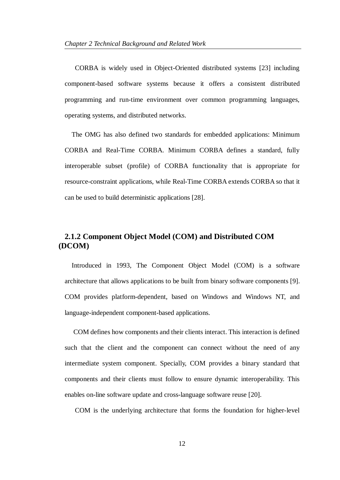CORBA is widely used in Object-Oriented distributed systems [23] including component-based software systems because it offers a consistent distributed programming and run-time environment over common programming languages, operating systems, and distributed networks.

The OMG has also defined two standards for embedded applications: Minimum CORBA and Real-Time CORBA. Minimum CORBA defines a standard, fully interoperable subset (profile) of CORBA functionality that is appropriate for resource-constraint applications, while Real-Time CORBA extends CORBA so that it can be used to build deterministic applications [28].

#### **2.1.2 Component Object Model (COM) and Distributed COM (DCOM)**

Introduced in 1993, The Component Object Model (COM) is a software architecture that allows applications to be built from binary software components [9]. COM provides platform-dependent, based on Windows and Windows NT, and language-independent component-based applications.

COM defines how components and their clients interact. This interaction is defined such that the client and the component can connect without the need of any intermediate system component. Specially, COM provides a binary standard that components and their clients must follow to ensure dynamic interoperability. This enables on-line software update and cross-language software reuse [20].

COM is the underlying architecture that forms the foundation for higher-level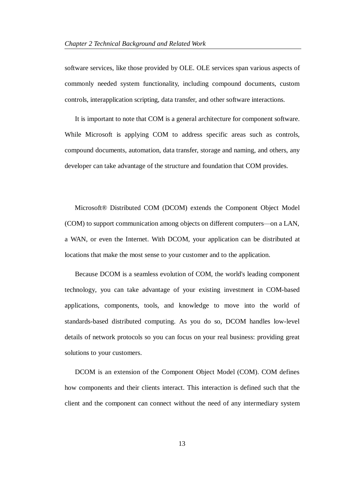software services, like those provided by OLE. OLE services span various aspects of commonly needed system functionality, including compound documents, custom controls, interapplication scripting, data transfer, and other software interactions.

It is important to note that COM is a general architecture for component software. While Microsoft is applying COM to address specific areas such as controls, compound documents, automation, data transfer, storage and naming, and others, any developer can take advantage of the structure and foundation that COM provides.

Microsoft® Distributed COM (DCOM) extends the Component Object Model (COM) to support communication among objects on different computers—on a LAN, a WAN, or even the Internet. With DCOM, your application can be distributed at locations that make the most sense to your customer and to the application.

Because DCOM is a seamless evolution of COM, the world's leading component technology, you can take advantage of your existing investment in COM-based applications, components, tools, and knowledge to move into the world of standards-based distributed computing. As you do so, DCOM handles low-level details of network protocols so you can focus on your real business: providing great solutions to your customers.

DCOM is an extension of the Component Object Model (COM). COM defines how components and their clients interact. This interaction is defined such that the client and the component can connect without the need of any intermediary system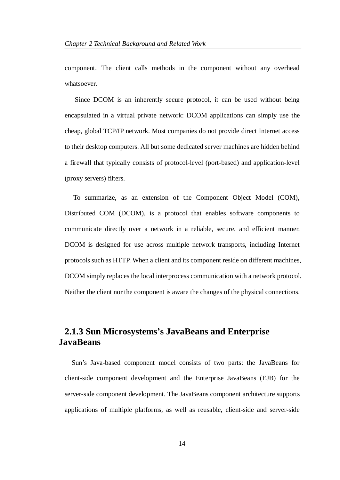component. The client calls methods in the component without any overhead whatsoever.

Since DCOM is an inherently secure protocol, it can be used without being encapsulated in a virtual private network: DCOM applications can simply use the cheap, global TCP/IP network. Most companies do not provide direct Internet access to their desktop computers. All but some dedicated server machines are hidden behind a firewall that typically consists of protocol-level (port-based) and application-level (proxy servers) filters.

To summarize, as an extension of the Component Object Model (COM), Distributed COM (DCOM), is a protocol that enables software components to communicate directly over a network in a reliable, secure, and efficient manner. DCOM is designed for use across multiple network transports, including Internet protocols such as HTTP. When a client and its component reside on different machines, DCOM simply replaces the local interprocess communication with a network protocol. Neither the client nor the component is aware the changes of the physical connections.

#### **2.1.3 Sun Microsystems's JavaBeans and Enterprise JavaBeans**

Sun's Java-based component model consists of two parts: the JavaBeans for client-side component development and the Enterprise JavaBeans (EJB) for the server-side component development. The JavaBeans component architecture supports applications of multiple platforms, as well as reusable, client-side and server-side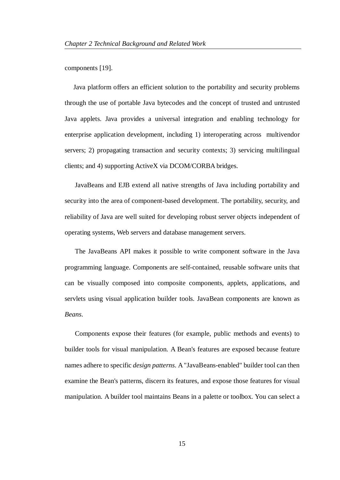components [19].

Java platform offers an efficient solution to the portability and security problems through the use of portable Java bytecodes and the concept of trusted and untrusted Java applets. Java provides a universal integration and enabling technology for enterprise application development, including 1) interoperating across multivendor servers; 2) propagating transaction and security contexts; 3) servicing multilingual clients; and 4) supporting ActiveX via DCOM/CORBA bridges.

JavaBeans and EJB extend all native strengths of Java including portability and security into the area of component-based development. The portability, security, and reliability of Java are well suited for developing robust server objects independent of operating systems, Web servers and database management servers.

The JavaBeans API makes it possible to write component software in the Java programming language. Components are self-contained, reusable software units that can be visually composed into composite components, applets, applications, and servlets using visual application builder tools. JavaBean components are known as *Beans*.

Components expose their features (for example, public methods and events) to builder tools for visual manipulation. A Bean's features are exposed because feature names adhere to specific *design patterns*. A"JavaBeans-enabled" builder tool can then examine the Bean's patterns, discern its features, and expose those features for visual manipulation. A builder tool maintains Beans in a palette or toolbox. You can select a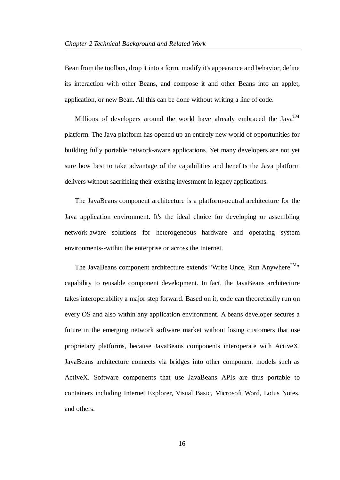Bean from the toolbox, drop it into a form, modify it's appearance and behavior, define its interaction with other Beans, and compose it and other Beans into an applet, application, or new Bean. All this can be done without writing a line of code.

Millions of developers around the world have already embraced the  $Java^{TM}$ platform. The Java platform has opened up an entirely new world of opportunities for building fully portable network-aware applications. Yet many developers are not yet sure how best to take advantage of the capabilities and benefits the Java platform delivers without sacrificing their existing investment in legacy applications.

The JavaBeans component architecture is a platform-neutral architecture for the Java application environment. It's the ideal choice for developing or assembling network-aware solutions for heterogeneous hardware and operating system environments--within the enterprise or across the Internet.

The JavaBeans component architecture extends "Write Once, Run Anywhere $^{TM_{11}}$ capability to reusable component development. In fact, the JavaBeans architecture takes interoperability a major step forward. Based on it, code can theoretically run on every OS and also within any application environment. A beans developer secures a future in the emerging network software market without losing customers that use proprietary platforms, because JavaBeans components interoperate with ActiveX. JavaBeans architecture connects via bridges into other component models such as ActiveX. Software components that use JavaBeans APIs are thus portable to containers including Internet Explorer, Visual Basic, Microsoft Word, Lotus Notes, and others.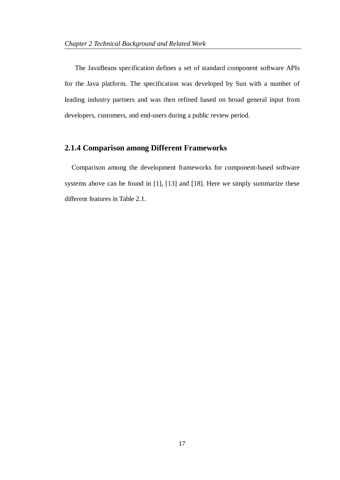The JavaBeans specification defines a set of standard component software APIs for the Java platform. The specification was developed by Sun with a number of leading industry partners and was then refined based on broad general input from developers, customers, and end-users during a public review period.

#### **2.1.4 Comparison among Different Frameworks**

Comparison among the development frameworks for component-based software systems above can be found in [1], [13] and [18]. Here we simply summarize these different features in Table 2.1.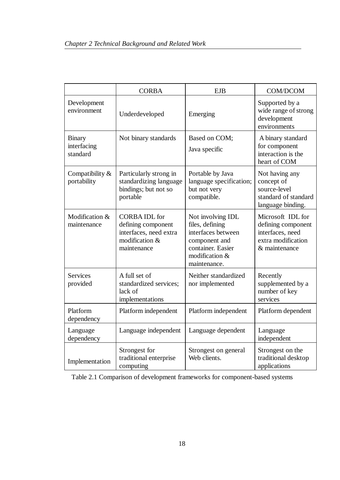|                                          | <b>CORBA</b>                                                                                         | <b>EJB</b>                                                                                                                         | <b>COM/DCOM</b>                                                                                    |
|------------------------------------------|------------------------------------------------------------------------------------------------------|------------------------------------------------------------------------------------------------------------------------------------|----------------------------------------------------------------------------------------------------|
| Development<br>environment               | Underdeveloped                                                                                       | Emerging                                                                                                                           | Supported by a<br>wide range of strong<br>development<br>environments                              |
| <b>Binary</b><br>interfacing<br>standard | Not binary standards                                                                                 | Based on COM;<br>Java specific                                                                                                     | A binary standard<br>for component<br>interaction is the<br>heart of COM                           |
| Compatibility $\&$<br>portability        | Particularly strong in<br>standardizing language<br>bindings; but not so<br>portable                 | Portable by Java<br>language specification;<br>but not very<br>compatible.                                                         | Not having any<br>concept of<br>source-level<br>standard of standard<br>language binding.          |
| Modification &<br>maintenance            | <b>CORBAIDL</b> for<br>defining component<br>interfaces, need extra<br>modification &<br>maintenance | Not involving IDL<br>files, defining<br>interfaces between<br>component and<br>container. Easier<br>modification &<br>maintenance. | Microsoft IDL for<br>defining component<br>interfaces, need<br>extra modification<br>& maintenance |
| <b>Services</b><br>provided              | A full set of<br>standardized services;<br>lack of<br>implementations                                | Neither standardized<br>nor implemented                                                                                            | Recently<br>supplemented by a<br>number of key<br>services                                         |
| Platform<br>dependency                   | Platform independent                                                                                 | Platform independent                                                                                                               | Platform dependent                                                                                 |
| Language<br>dependency                   | Language independent                                                                                 | Language dependent                                                                                                                 | Language<br>independent                                                                            |
| Implementation                           | Strongest for<br>traditional enterprise<br>computing                                                 | Strongest on general<br>Web clients.                                                                                               | Strongest on the<br>traditional desktop<br>applications                                            |

Table 2.1 Comparison of development frameworks for component-based systems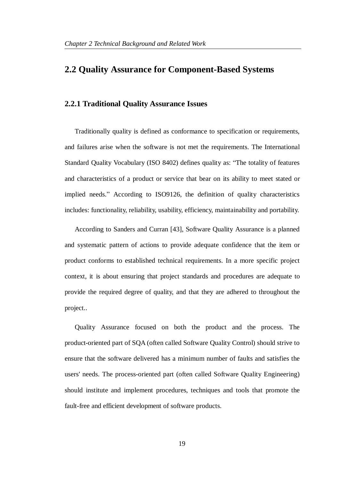#### **2.2 Quality Assurance for Component-Based Systems**

#### **2.2.1 Traditional Quality Assurance Issues**

Traditionally quality is defined as conformance to specification or requirements, and failures arise when the software is not met the requirements. The International Standard Quality Vocabulary (ISO 8402) defines quality as: "The totality of features and characteristics of a product or service that bear on its ability to meet stated or implied needs." According to ISO9126, the definition of quality characteristics includes: functionality, reliability, usability, efficiency, maintainability and portability.

According to Sanders and Curran [43], Software Quality Assurance is a planned and systematic pattern of actions to provide adequate confidence that the item or product conforms to established technical requirements. In a more specific project context, it is about ensuring that project standards and procedures are adequate to provide the required degree of quality, and that they are adhered to throughout the project..

Quality Assurance focused on both the product and the process. The product-oriented part of SQA (often called Software Quality Control) should strive to ensure that the software delivered has a minimum number of faults and satisfies the users' needs. The process-oriented part (often called Software Quality Engineering) should institute and implement procedures, techniques and tools that promote the fault-free and efficient development of software products.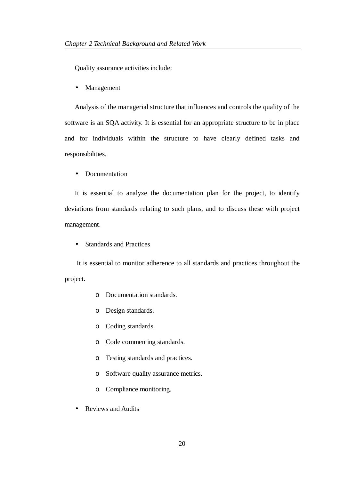Quality assurance activities include:

**Management** 

Analysis of the managerial structure that influences and controls the quality of the software is an SQA activity. It is essential for an appropriate structure to be in place and for individuals within the structure to have clearly defined tasks and responsibilities.

• Documentation

It is essential to analyze the documentation plan for the project, to identify deviations from standards relating to such plans, and to discuss these with project management.

• Standards and Practices

It is essential to monitor adherence to all standards and practices throughout the project.

- o Documentation standards.
- o Design standards.
- o Coding standards.
- o Code commenting standards.
- o Testing standards and practices.
- o Software quality assurance metrics.
- o Compliance monitoring.
- Reviews and Audits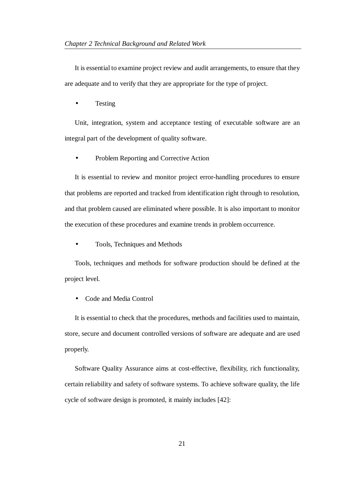It is essential to examine project review and audit arrangements, to ensure that they are adequate and to verify that they are appropriate for the type of project.

**Testing** 

Unit, integration, system and acceptance testing of executable software are an integral part of the development of quality software.

• Problem Reporting and Corrective Action

It is essential to review and monitor project error-handling procedures to ensure that problems are reported and tracked from identification right through to resolution, and that problem caused are eliminated where possible. It is also important to monitor the execution of these procedures and examine trends in problem occurrence.

• Tools, Techniques and Methods

Tools, techniques and methods for software production should be defined at the project level.

• Code and Media Control

It is essential to check that the procedures, methods and facilities used to maintain, store, secure and document controlled versions of software are adequate and are used properly.

Software Quality Assurance aims at cost-effective, flexibility, rich functionality, certain reliability and safety of software systems. To achieve software quality, the life cycle of software design is promoted, it mainly includes [42]: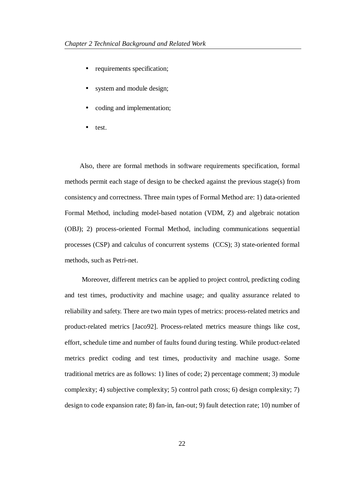- requirements specification;
- system and module design;
- coding and implementation;
- test.

 Also, there are formal methods in software requirements specification, formal methods permit each stage of design to be checked against the previous stage(s) from consistency and correctness. Three main types of Formal Method are: 1) data-oriented Formal Method, including model-based notation (VDM, Z) and algebraic notation (OBJ); 2) process-oriented Formal Method, including communications sequential processes (CSP) and calculus of concurrent systems (CCS); 3) state-oriented formal methods, such as Petri-net.

 Moreover, different metrics can be applied to project control, predicting coding and test times, productivity and machine usage; and quality assurance related to reliability and safety. There are two main types of metrics: process-related metrics and product-related metrics [Jaco92]. Process-related metrics measure things like cost, effort, schedule time and number of faults found during testing. While product-related metrics predict coding and test times, productivity and machine usage. Some traditional metrics are as follows: 1) lines of code; 2) percentage comment; 3) module complexity; 4) subjective complexity; 5) control path cross; 6) design complexity; 7) design to code expansion rate; 8) fan-in, fan-out; 9) fault detection rate; 10) number of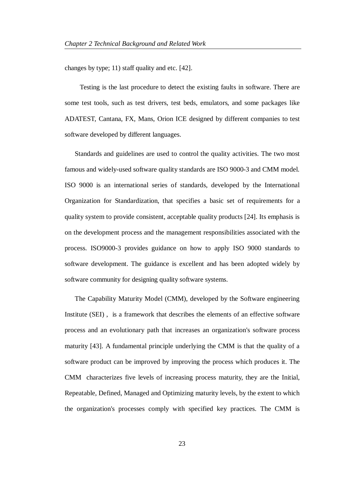changes by type; 11) staff quality and etc. [42].

 Testing is the last procedure to detect the existing faults in software. There are some test tools, such as test drivers, test beds, emulators, and some packages like ADATEST, Cantana, FX, Mans, Orion ICE designed by different companies to test software developed by different languages.

Standards and guidelines are used to control the quality activities. The two most famous and widely-used software quality standards are ISO 9000-3 and CMM model. ISO 9000 is an international series of standards, developed by the International Organization for Standardization, that specifies a basic set of requirements for a quality system to provide consistent, acceptable quality products [24]. Its emphasis is on the development process and the management responsibilities associated with the process. ISO9000-3 provides guidance on how to apply ISO 9000 standards to software development. The guidance is excellent and has been adopted widely by software community for designing quality software systems.

The Capability Maturity Model (CMM), developed by the Software engineering Institute (SEI) , is a framework that describes the elements of an effective software process and an evolutionary path that increases an organization's software process maturity [43]. A fundamental principle underlying the CMM is that the quality of a software product can be improved by improving the process which produces it. The CMM characterizes five levels of increasing process maturity, they are the Initial, Repeatable, Defined, Managed and Optimizing maturity levels, by the extent to which the organization's processes comply with specified key practices. The CMM is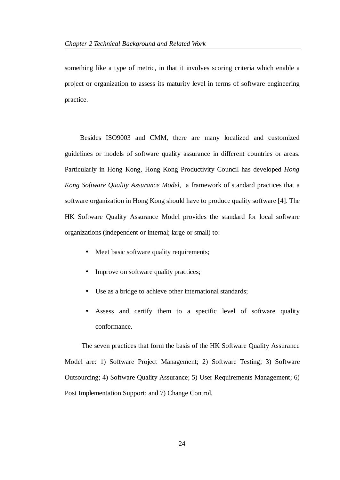something like a type of metric, in that it involves scoring criteria which enable a project or organization to assess its maturity level in terms of software engineering practice.

Besides ISO9003 and CMM, there are many localized and customized guidelines or models of software quality assurance in different countries or areas. Particularly in Hong Kong, Hong Kong Productivity Council has developed *Hong Kong Software Quality Assurance Model*, a framework of standard practices that a software organization in Hong Kong should have to produce quality software [4]. The HK Software Quality Assurance Model provides the standard for local software organizations (independent or internal; large or small) to:

- Meet basic software quality requirements;
- Improve on software quality practices;
- Use as a bridge to achieve other international standards;
- Assess and certify them to a specific level of software quality conformance.

The seven practices that form the basis of the HK Software Quality Assurance Model are: 1) Software Project Management; 2) Software Testing; 3) Software Outsourcing; 4) Software Quality Assurance; 5) User Requirements Management; 6) Post Implementation Support; and 7) Change Control.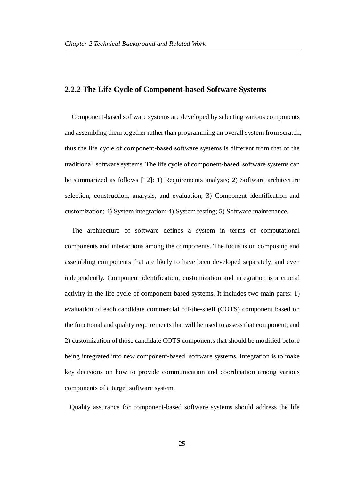#### **2.2.2 The Life Cycle of Component-based Software Systems**

Component-based software systems are developed by selecting various components and assembling them together rather than programming an overall system from scratch, thus the life cycle of component-based software systems is different from that of the traditional software systems. The life cycle of component-based software systems can be summarized as follows [12]: 1) Requirements analysis; 2) Software architecture selection, construction, analysis, and evaluation; 3) Component identification and customization; 4) System integration; 4) System testing; 5) Software maintenance.

The architecture of software defines a system in terms of computational components and interactions among the components. The focus is on composing and assembling components that are likely to have been developed separately, and even independently. Component identification, customization and integration is a crucial activity in the life cycle of component-based systems. It includes two main parts: 1) evaluation of each candidate commercial off-the-shelf (COTS) component based on the functional and quality requirements that will be used to assess that component; and 2) customization of those candidate COTS components that should be modified before being integrated into new component-based software systems. Integration is to make key decisions on how to provide communication and coordination among various components of a target software system.

Quality assurance for component-based software systems should address the life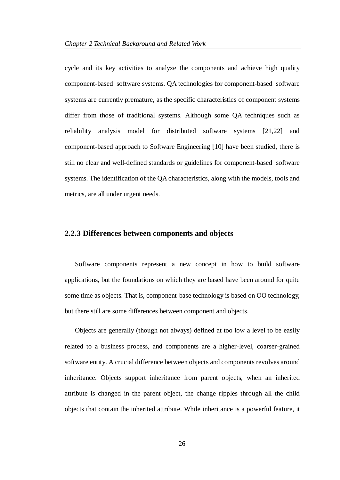cycle and its key activities to analyze the components and achieve high quality component-based software systems. QA technologies for component-based software systems are currently premature, as the specific characteristics of component systems differ from those of traditional systems. Although some QA techniques such as reliability analysis model for distributed software systems [21,22] and component-based approach to Software Engineering [10] have been studied, there is still no clear and well-defined standards or guidelines for component-based software systems. The identification of the QA characteristics, along with the models, tools and metrics, are all under urgent needs.

#### **2.2.3 Differences between components and objects**

Software components represent a new concept in how to build software applications, but the foundations on which they are based have been around for quite some time as objects. That is, component-base technology is based on OO technology, but there still are some differences between component and objects.

Objects are generally (though not always) defined at too low a level to be easily related to a business process, and components are a higher-level, coarser-grained software entity. A crucial difference between objects and components revolves around inheritance. Objects support inheritance from parent objects, when an inherited attribute is changed in the parent object, the change ripples through all the child objects that contain the inherited attribute. While inheritance is a powerful feature, it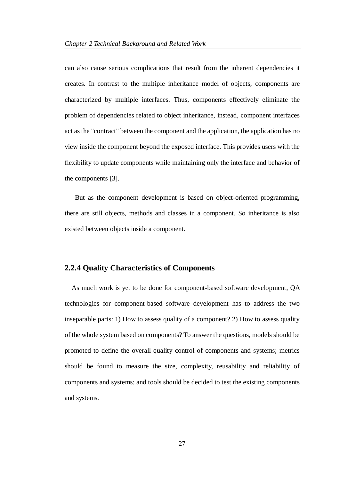can also cause serious complications that result from the inherent dependencies it creates. In contrast to the multiple inheritance model of objects, components are characterized by multiple interfaces. Thus, components effectively eliminate the problem of dependencies related to object inheritance, instead, component interfaces act asthe "contract" between the component and the application, the application has no view inside the component beyond the exposed interface. This provides users with the flexibility to update components while maintaining only the interface and behavior of the components [3].

But as the component development is based on object-oriented programming, there are still objects, methods and classes in a component. So inheritance is also existed between objects inside a component.

#### **2.2.4 Quality Characteristics of Components**

As much work is yet to be done for component-based software development, QA technologies for component-based software development has to address the two inseparable parts: 1) How to assess quality of a component? 2) How to assess quality of the whole system based on components? To answer the questions, models should be promoted to define the overall quality control of components and systems; metrics should be found to measure the size, complexity, reusability and reliability of components and systems; and tools should be decided to test the existing components and systems.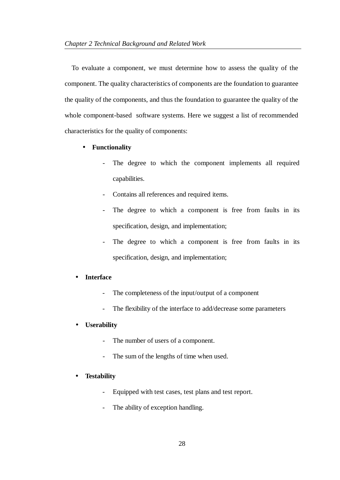To evaluate a component, we must determine how to assess the quality of the component. The quality characteristics of components are the foundation to guarantee the quality of the components, and thus the foundation to guarantee the quality of the whole component-based software systems. Here we suggest a list of recommended characteristics for the quality of components:

#### • **Functionality**

- The degree to which the component implements all required capabilities.
- Contains all references and required items.
- The degree to which a component is free from faults in its specification, design, and implementation;
- The degree to which a component is free from faults in its specification, design, and implementation;

#### • **Interface**

- The completeness of the input/output of a component
- The flexibility of the interface to add/decrease some parameters

#### • **Userability**

- The number of users of a component.
- The sum of the lengths of time when used.

#### • **Testability**

- Equipped with test cases, test plans and test report.
- The ability of exception handling.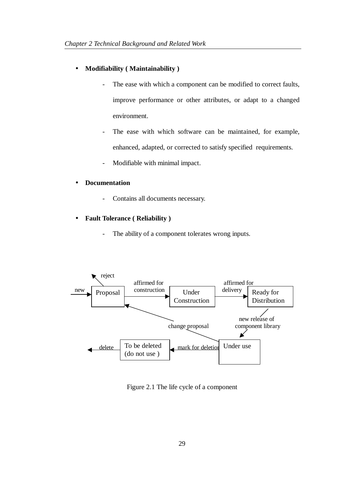### • **Modifiability ( Maintainability )**

- The ease with which a component can be modified to correct faults, improve performance or other attributes, or adapt to a changed environment.
- The ease with which software can be maintained, for example, enhanced, adapted, or corrected to satisfy specified requirements.
- Modifiable with minimal impact.

### • **Documentation**

- Contains all documents necessary.
- **Fault Tolerance ( Reliability )** 
	- The ability of a component tolerates wrong inputs.



Figure 2.1 The life cycle of a component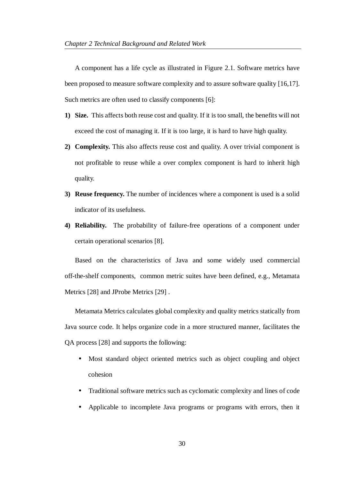A component has a life cycle as illustrated in Figure 2.1. Software metrics have been proposed to measure software complexity and to assure software quality [16,17]. Such metrics are often used to classify components [6]:

- **1) Size.** This affects both reuse cost and quality. If it is too small, the benefits will not exceed the cost of managing it. If it is too large, it is hard to have high quality.
- **2) Complexity.** This also affects reuse cost and quality. A over trivial component is not profitable to reuse while a over complex component is hard to inherit high quality.
- **3) Reuse frequency.** The number of incidences where a component is used is a solid indicator of its usefulness.
- **4) Reliability.** The probability of failure-free operations of a component under certain operational scenarios [8].

Based on the characteristics of Java and some widely used commercial off-the-shelf components, common metric suites have been defined, e.g., Metamata Metrics [28] and JProbe Metrics [29] .

Metamata Metrics calculates global complexity and quality metrics statically from Java source code. It helps organize code in a more structured manner, facilitates the QA process [28] and supports the following:

- Most standard object oriented metrics such as object coupling and object cohesion
- Traditional software metrics such as cyclomatic complexity and lines of code
- Applicable to incomplete Java programs or programs with errors, then it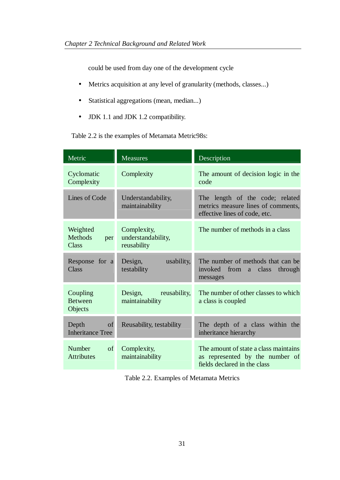could be used from day one of the development cycle

- Metrics acquisition at any level of granularity (methods, classes...)
- Statistical aggregations (mean, median...)
- JDK 1.1 and JDK 1.2 compatibility.

Table 2.2 is the examples of Metamata Metric98s:

| Metric                                     | <b>Measures</b>                                  | Description                                                                                              |
|--------------------------------------------|--------------------------------------------------|----------------------------------------------------------------------------------------------------------|
| Cyclomatic<br>Complexity                   | Complexity                                       | The amount of decision logic in the<br>code                                                              |
| Lines of Code                              | Understandability,<br>maintainability            | The length of the code; related<br>metrics measure lines of comments,<br>effective lines of code, etc.   |
| Weighted<br>Methods<br>per<br><b>Class</b> | Complexity,<br>understandability,<br>reusability | The number of methods in a class                                                                         |
| Response for a<br><b>Class</b>             | usability,<br>Design,<br>testability             | The number of methods that can be<br>invoked from a<br>class<br>through<br>messages                      |
| Coupling<br><b>Between</b><br>Objects      | Design,<br>reusability,<br>maintainability       | The number of other classes to which<br>a class is coupled                                               |
| Depth<br>of<br><b>Inheritance Tree</b>     | Reusability, testability                         | The depth of a class within the<br>inheritance hierarchy                                                 |
| Number<br>of<br><b>Attributes</b>          | Complexity,<br>maintainability                   | The amount of state a class maintains<br>as represented by the number of<br>fields declared in the class |

Table 2.2. Examples of Metamata Metrics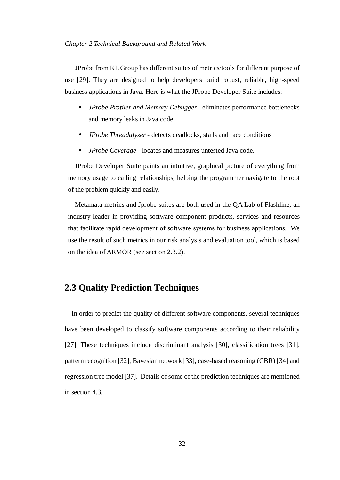JProbe from KL Group has different suites of metrics/tools for different purpose of use [29]. They are designed to help developers build robust, reliable, high-speed business applications in Java. Here is what the JProbe Developer Suite includes:

- *JProbe Profiler and Memory Debugger* eliminates performance bottlenecks and memory leaks in Java code
- *JProbe Threadalyzer* detects deadlocks, stalls and race conditions
- *JProbe Coverage* locates and measures untested Java code.

JProbe Developer Suite paints an intuitive, graphical picture of everything from memory usage to calling relationships, helping the programmer navigate to the root of the problem quickly and easily.

Metamata metrics and Jprobe suites are both used in the QA Lab of Flashline, an industry leader in providing software component products, services and resources that facilitate rapid development of software systems for business applications. We use the result of such metrics in our risk analysis and evaluation tool, which is based on the idea of ARMOR (see section 2.3.2).

### **2.3 Quality Prediction Techniques**

In order to predict the quality of different software components, several techniques have been developed to classify software components according to their reliability [27]. These techniques include discriminant analysis [30], classification trees [31], pattern recognition [32], Bayesian network [33], case-based reasoning (CBR) [34] and regression tree model [37]. Details of some of the prediction techniques are mentioned in section 4.3.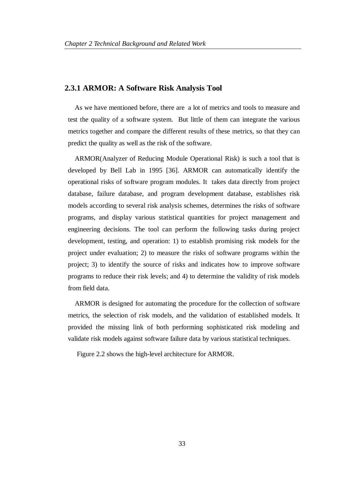#### **2.3.1 ARMOR: A Software Risk Analysis Tool**

As we have mentioned before, there are a lot of metrics and tools to measure and test the quality of a software system. But little of them can integrate the various metrics together and compare the different results of these metrics, so that they can predict the quality as well as the risk of the software.

ARMOR(Analyzer of Reducing Module Operational Risk) is such a tool that is developed by Bell Lab in 1995 [36]. ARMOR can automatically identify the operational risks of software program modules. It takes data directly from project database, failure database, and program development database, establishes risk models according to several risk analysis schemes, determines the risks of software programs, and display various statistical quantities for project management and engineering decisions. The tool can perform the following tasks during project development, testing, and operation: 1) to establish promising risk models for the project under evaluation; 2) to measure the risks of software programs within the project; 3) to identify the source of risks and indicates how to improve software programs to reduce their risk levels; and 4) to determine the validity of risk models from field data.

ARMOR is designed for automating the procedure for the collection of software metrics, the selection of risk models, and the validation of established models. It provided the missing link of both performing sophisticated risk modeling and validate risk models against software failure data by various statistical techniques.

Figure 2.2 shows the high-level architecture for ARMOR.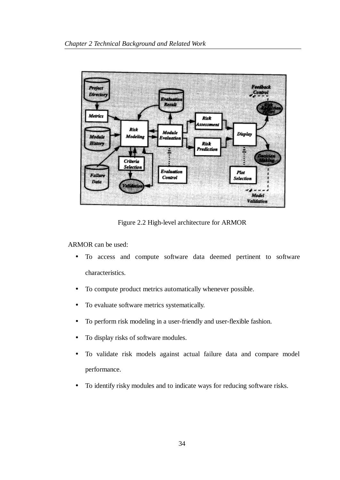

Figure 2.2 High-level architecture for ARMOR

ARMOR can be used:

- To access and compute software data deemed pertinent to software characteristics.
- To compute product metrics automatically whenever possible.
- To evaluate software metrics systematically.
- To perform risk modeling in a user-friendly and user-flexible fashion.
- To display risks of software modules.
- To validate risk models against actual failure data and compare model performance.
- To identify risky modules and to indicate ways for reducing software risks.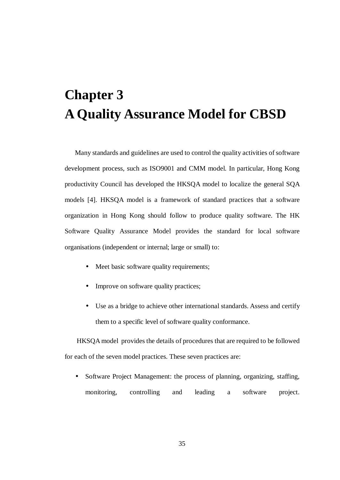# **Chapter 3 A Quality Assurance Model for CBSD**

Many standards and guidelines are used to control the quality activities of software development process, such as ISO9001 and CMM model. In particular, Hong Kong productivity Council has developed the HKSQA model to localize the general SQA models [4]. HKSQA model is a framework of standard practices that a software organization in Hong Kong should follow to produce quality software. The HK Software Quality Assurance Model provides the standard for local software organisations (independent or internal; large or small) to:

- Meet basic software quality requirements;
- Improve on software quality practices;
- Use as a bridge to achieve other international standards. Assess and certify them to a specific level of software quality conformance.

HKSQA model provides the details of procedures that are required to be followed for each of the seven model practices. These seven practices are:

• Software Project Management: the process of planning, organizing, staffing, monitoring, controlling and leading a software project.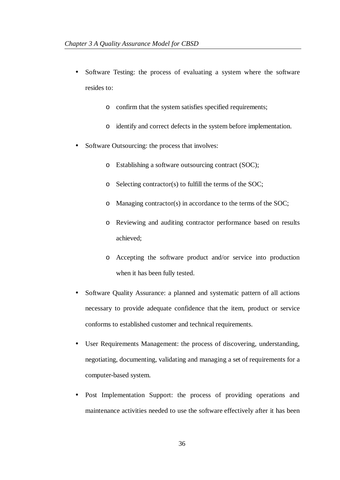- Software Testing: the process of evaluating a system where the software resides to:
	- o confirm that the system satisfies specified requirements;
	- o identify and correct defects in the system before implementation.
- Software Outsourcing: the process that involves:
	- o Establishing a software outsourcing contract (SOC);
	- o Selecting contractor(s) to fulfill the terms of the SOC;
	- o Managing contractor(s) in accordance to the terms of the SOC;
	- o Reviewing and auditing contractor performance based on results achieved;
	- o Accepting the software product and/or service into production when it has been fully tested.
- Software Quality Assurance: a planned and systematic pattern of all actions necessary to provide adequate confidence that the item, product or service conforms to established customer and technical requirements.
- User Requirements Management: the process of discovering, understanding, negotiating, documenting, validating and managing a set of requirements for a computer-based system.
- Post Implementation Support: the process of providing operations and maintenance activities needed to use the software effectively after it has been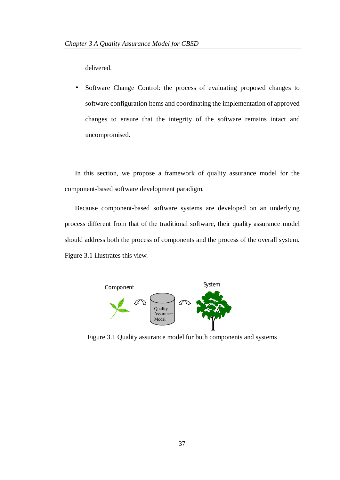delivered.

• Software Change Control: the process of evaluating proposed changes to software configuration items and coordinating the implementation of approved changes to ensure that the integrity of the software remains intact and uncompromised.

In this section, we propose a framework of quality assurance model for the component-based software development paradigm.

Because component-based software systems are developed on an underlying process different from that of the traditional software, their quality assurance model should address both the process of components and the process of the overall system. Figure 3.1 illustrates this view.



Figure 3.1 Quality assurance model for both components and systems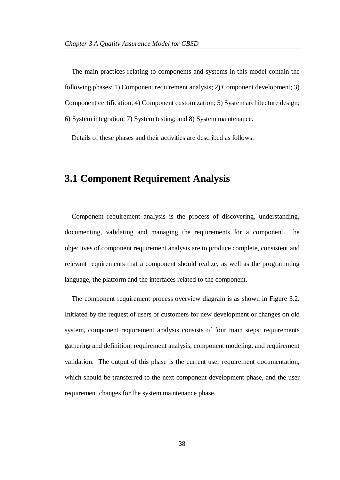The main practices relating to components and systems in this model contain the following phases: 1) Component requirement analysis; 2) Component development; 3) Component certification; 4) Component customization; 5) System architecture design; 6) System integration; 7) System testing; and 8) System maintenance.

Details of these phases and their activities are described as follows.

# **3.1 Component Requirement Analysis**

Component requirement analysis is the process of discovering, understanding, documenting, validating and managing the requirements for a component. The objectives of component requirement analysis are to produce complete, consistent and relevant requirements that a component should realize, as well as the programming language, the platform and the interfaces related to the component.

The component requirement process overview diagram is as shown in Figure 3.2. Initiated by the request of users or customers for new development or changes on old system, component requirement analysis consists of four main steps: requirements gathering and definition, requirement analysis, component modeling, and requirement validation. The output of this phase is the current user requirement documentation, which should be transferred to the next component development phase, and the user requirement changes for the system maintenance phase.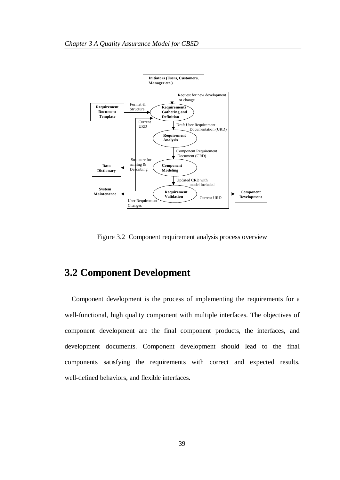

Figure 3.2 Component requirement analysis process overview

# **3.2 Component Development**

Component development is the process of implementing the requirements for a well-functional, high quality component with multiple interfaces. The objectives of component development are the final component products, the interfaces, and development documents. Component development should lead to the final components satisfying the requirements with correct and expected results, well-defined behaviors, and flexible interfaces.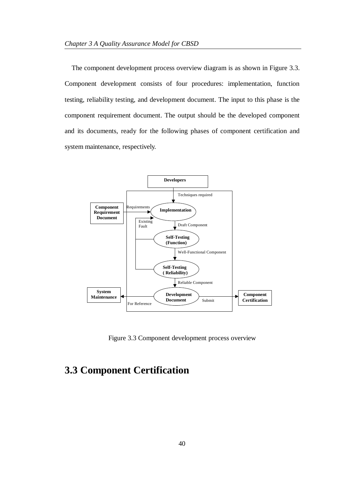The component development process overview diagram is as shown in Figure 3.3. Component development consists of four procedures: implementation, function testing, reliability testing, and development document. The input to this phase is the component requirement document. The output should be the developed component and its documents, ready for the following phases of component certification and system maintenance, respectively.



Figure 3.3 Component development process overview

# **3.3 Component Certification**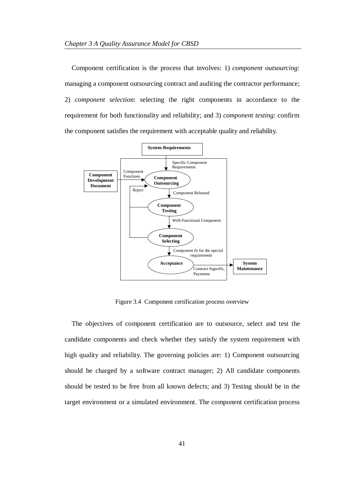Component certification is the process that involves: 1) *component outsourcing*: managing a component outsourcing contract and auditing the contractor performance; 2) *component selection*: selecting the right components in accordance to the requirement for both functionality and reliability; and 3) *component testing*: confirm the component satisfies the requirement with acceptable quality and reliability.



Figure 3.4 Component certification process overview

The objectives of component certification are to outsource, select and test the candidate components and check whether they satisfy the system requirement with high quality and reliability. The governing policies are: 1) Component outsourcing should be charged by a software contract manager; 2) All candidate components should be tested to be free from all known defects; and 3) Testing should be in the target environment or a simulated environment. The component certification process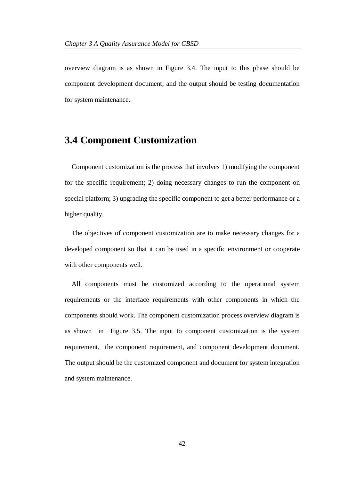overview diagram is as shown in Figure 3.4. The input to this phase should be component development document, and the output should be testing documentation for system maintenance.

# **3.4 Component Customization**

Component customization is the process that involves 1) modifying the component for the specific requirement; 2) doing necessary changes to run the component on special platform; 3) upgrading the specific component to get a better performance or a higher quality.

The objectives of component customization are to make necessary changes for a developed component so that it can be used in a specific environment or cooperate with other components well.

All components must be customized according to the operational system requirements or the interface requirements with other components in which the components should work. The component customization process overview diagram is as shown in Figure 3.5. The input to component customization is the system requirement, the component requirement, and component development document. The output should be the customized component and document for system integration and system maintenance.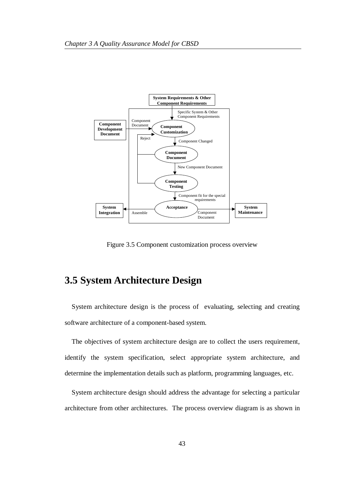

Figure 3.5 Component customization process overview

# **3.5 System Architecture Design**

System architecture design is the process of evaluating, selecting and creating software architecture of a component-based system.

The objectives of system architecture design are to collect the users requirement, identify the system specification, select appropriate system architecture, and determine the implementation details such as platform, programming languages, etc.

System architecture design should address the advantage for selecting a particular architecture from other architectures. The process overview diagram is as shown in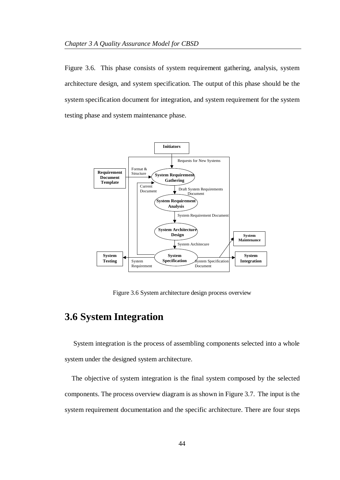Figure 3.6. This phase consists of system requirement gathering, analysis, system architecture design, and system specification. The output of this phase should be the system specification document for integration, and system requirement for the system testing phase and system maintenance phase.



Figure 3.6 System architecture design process overview

# **3.6 System Integration**

 System integration is the process of assembling components selected into a whole system under the designed system architecture.

The objective of system integration is the final system composed by the selected components. The process overview diagram is as shown in Figure 3.7. The input is the system requirement documentation and the specific architecture. There are four steps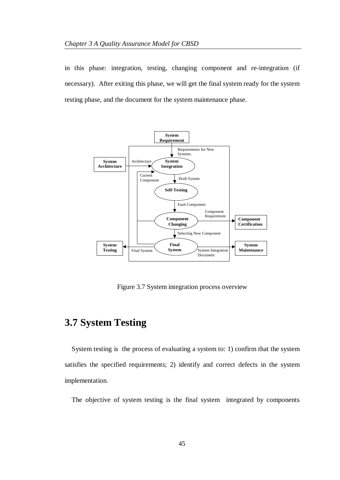in this phase: integration, testing, changing component and re-integration (if necessary). After exiting this phase, we will get the final system ready for the system testing phase, and the document for the system maintenance phase.



Figure 3.7 System integration process overview

# **3.7 System Testing**

System testing is the process of evaluating a system to: 1) confirm that the system satisfies the specified requirements; 2) identify and correct defects in the system implementation.

The objective of system testing is the final system integrated by components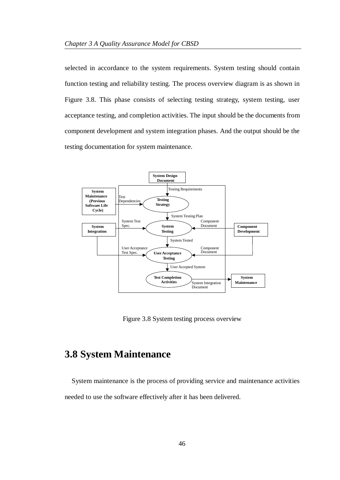selected in accordance to the system requirements. System testing should contain function testing and reliability testing. The process overview diagram is as shown in Figure 3.8. This phase consists of selecting testing strategy, system testing, user acceptance testing, and completion activities. The input should be the documents from component development and system integration phases. And the output should be the testing documentation for system maintenance.



Figure 3.8 System testing process overview

## **3.8 System Maintenance**

System maintenance is the process of providing service and maintenance activities needed to use the software effectively after it has been delivered.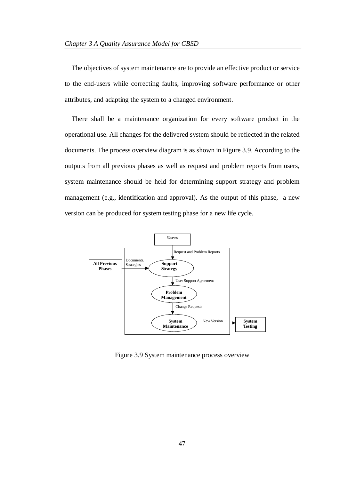The objectives of system maintenance are to provide an effective product or service to the end-users while correcting faults, improving software performance or other attributes, and adapting the system to a changed environment.

There shall be a maintenance organization for every software product in the operational use. All changes for the delivered system should be reflected in the related documents. The process overview diagram is as shown in Figure 3.9. According to the outputs from all previous phases as well as request and problem reports from users, system maintenance should be held for determining support strategy and problem management (e.g., identification and approval). As the output of this phase, a new version can be produced for system testing phase for a new life cycle.



Figure 3.9 System maintenance process overview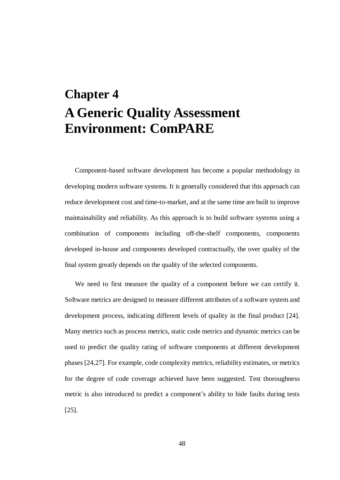# **Chapter 4 A Generic Quality Assessment Environment: ComPARE**

Component-based software development has become a popular methodology in developing modern software systems. It is generally considered that this approach can reduce development cost and time-to-market, and at the same time are built to improve maintainability and reliability. As this approach is to build software systems using a combination of components including off-the-shelf components, components developed in-house and components developed contractually, the over quality of the final system greatly depends on the quality of the selected components.

We need to first measure the quality of a component before we can certify it. Software metrics are designed to measure different attributes of a software system and development process, indicating different levels of quality in the final product [24]. Many metrics such as process metrics, static code metrics and dynamic metrics can be used to predict the quality rating of software components at different development phases [24,27]. For example, code complexity metrics, reliability estimates, or metrics for the degree of code coverage achieved have been suggested. Test thoroughness metric is also introduced to predict a component's ability to hide faults during tests [25].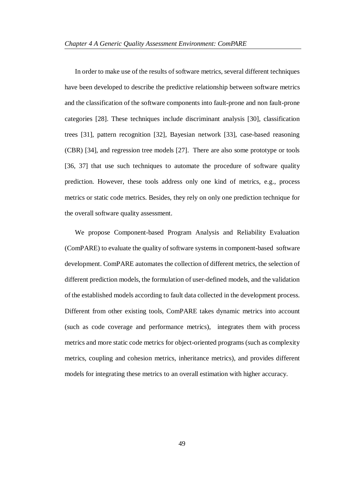In order to make use of the results of software metrics, several different techniques have been developed to describe the predictive relationship between software metrics and the classification of the software components into fault-prone and non fault-prone categories [28]. These techniques include discriminant analysis [30], classification trees [31], pattern recognition [32], Bayesian network [33], case-based reasoning (CBR) [34], and regression tree models [27]. There are also some prototype or tools [36, 37] that use such techniques to automate the procedure of software quality prediction. However, these tools address only one kind of metrics, e.g., process metrics or static code metrics. Besides, they rely on only one prediction technique for the overall software quality assessment.

We propose Component-based Program Analysis and Reliability Evaluation (ComPARE) to evaluate the quality of software systems in component-based software development. ComPARE automates the collection of different metrics, the selection of different prediction models, the formulation of user-defined models, and the validation of the established models according to fault data collected in the development process. Different from other existing tools, ComPARE takes dynamic metrics into account (such as code coverage and performance metrics), integrates them with process metrics and more static code metrics for object-oriented programs (such as complexity metrics, coupling and cohesion metrics, inheritance metrics), and provides different models for integrating these metrics to an overall estimation with higher accuracy.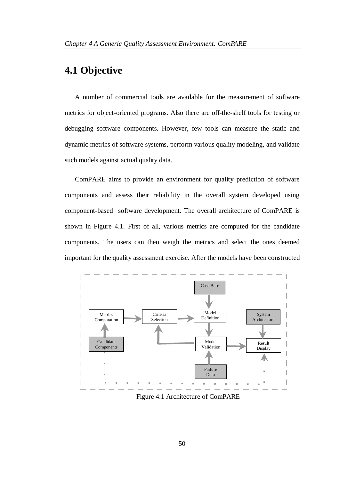# **4.1 Objective**

A number of commercial tools are available for the measurement of software metrics for object-oriented programs. Also there are off-the-shelf tools for testing or debugging software components. However, few tools can measure the static and dynamic metrics of software systems, perform various quality modeling, and validate such models against actual quality data.

ComPARE aims to provide an environment for quality prediction of software components and assess their reliability in the overall system developed using component-based software development. The overall architecture of ComPARE is shown in Figure 4.1. First of all, various metrics are computed for the candidate components. The users can then weigh the metrics and select the ones deemed important for the quality assessment exercise. After the models have been constructed



Figure 4.1 Architecture of ComPARE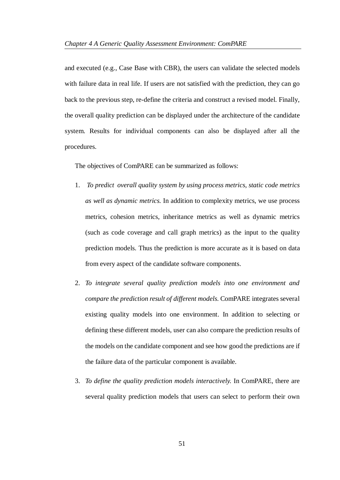and executed (e.g., Case Base with CBR), the users can validate the selected models with failure data in real life. If users are not satisfied with the prediction, they can go back to the previous step, re-define the criteria and construct a revised model. Finally, the overall quality prediction can be displayed under the architecture of the candidate system. Results for individual components can also be displayed after all the procedures.

The objectives of ComPARE can be summarized as follows:

- 1. *To predict overall quality system by using process metrics, static code metrics as well as dynamic metrics.* In addition to complexity metrics, we use process metrics, cohesion metrics, inheritance metrics as well as dynamic metrics (such as code coverage and call graph metrics) as the input to the quality prediction models. Thus the prediction is more accurate as it is based on data from every aspect of the candidate software components.
- 2. *To integrate several quality prediction models into one environment and compare the prediction result of different models.* ComPARE integrates several existing quality models into one environment. In addition to selecting or defining these different models, user can also compare the prediction results of the models on the candidate component and see how good the predictions are if the failure data of the particular component is available.
- 3. *To define the quality prediction models interactively.* In ComPARE, there are several quality prediction models that users can select to perform their own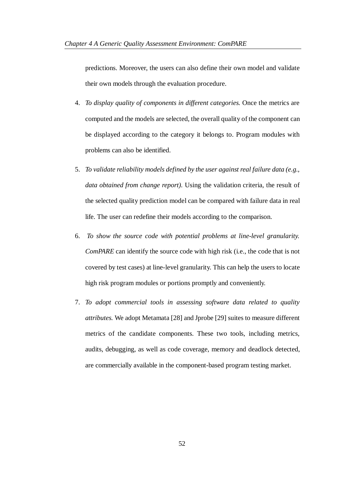predictions. Moreover, the users can also define their own model and validate their own models through the evaluation procedure.

- 4. *To display quality of components in different categories.* Once the metrics are computed and the models are selected, the overall quality of the component can be displayed according to the category it belongs to. Program modules with problems can also be identified.
- 5. *To validate reliability models defined by the user against real failure data (e.g., data obtained from change report).* Using the validation criteria, the result of the selected quality prediction model can be compared with failure data in real life. The user can redefine their models according to the comparison.
- 6. *To show the source code with potential problems at line-level granularity. ComPARE* can identify the source code with high risk (i.e., the code that is not covered by test cases) at line-level granularity. This can help the users to locate high risk program modules or portions promptly and conveniently.
- 7. *To adopt commercial tools in assessing software data related to quality attributes.* We adopt Metamata [28] and Jprobe [29] suites to measure different metrics of the candidate components. These two tools, including metrics, audits, debugging, as well as code coverage, memory and deadlock detected, are commercially available in the component-based program testing market.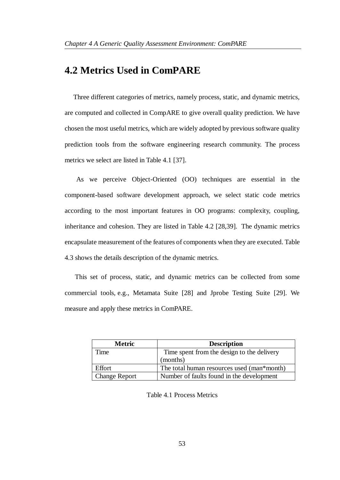# **4.2 Metrics Used in ComPARE**

Three different categories of metrics, namely process, static, and dynamic metrics, are computed and collected in CompARE to give overall quality prediction. We have chosen the most useful metrics, which are widely adopted by previous software quality prediction tools from the software engineering research community. The process metrics we select are listed in Table 4.1 [37].

As we perceive Object-Oriented (OO) techniques are essential in the component-based software development approach, we select static code metrics according to the most important features in OO programs: complexity, coupling, inheritance and cohesion. They are listed in Table 4.2 [28,39]. The dynamic metrics encapsulate measurement of the features of components when they are executed. Table 4.3 shows the details description of the dynamic metrics.

This set of process, static, and dynamic metrics can be collected from some commercial tools, e.g., Metamata Suite [28] and Jprobe Testing Suite [29]. We measure and apply these metrics in ComPARE.

| <b>Metric</b>        | <b>Description</b>                         |
|----------------------|--------------------------------------------|
| <b>Fime</b>          | Time spent from the design to the delivery |
|                      | (months)                                   |
| Effort               | The total human resources used (man*month) |
| <b>Change Report</b> | Number of faults found in the development  |

Table 4.1 Process Metrics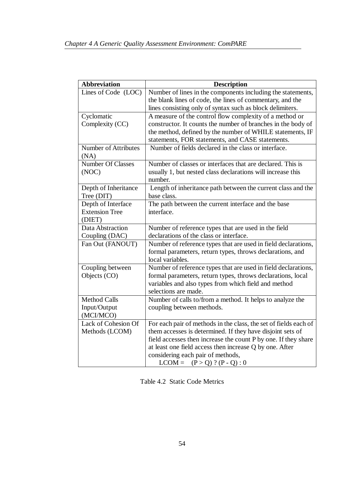| <b>Abbreviation</b>         | <b>Description</b>                                               |  |  |
|-----------------------------|------------------------------------------------------------------|--|--|
| Lines of Code (LOC)         | Number of lines in the components including the statements,      |  |  |
|                             | the blank lines of code, the lines of commentary, and the        |  |  |
|                             | lines consisting only of syntax such as block delimiters.        |  |  |
| Cyclomatic                  | A measure of the control flow complexity of a method or          |  |  |
| Complexity (CC)             | constructor. It counts the number of branches in the body of     |  |  |
|                             | the method, defined by the number of WHILE statements, IF        |  |  |
|                             | statements, FOR statements, and CASE statements.                 |  |  |
| <b>Number of Attributes</b> | Number of fields declared in the class or interface.             |  |  |
| (NA)                        |                                                                  |  |  |
| <b>Number Of Classes</b>    | Number of classes or interfaces that are declared. This is       |  |  |
| (NOC)                       | usually 1, but nested class declarations will increase this      |  |  |
|                             | number.                                                          |  |  |
| Depth of Inheritance        | Length of inheritance path between the current class and the     |  |  |
| Tree (DIT)                  | base class.                                                      |  |  |
| Depth of Interface          | The path between the current interface and the base              |  |  |
| <b>Extension Tree</b>       | interface.                                                       |  |  |
| (DIET)                      |                                                                  |  |  |
| Data Abstraction            | Number of reference types that are used in the field             |  |  |
| Coupling (DAC)              | declarations of the class or interface.                          |  |  |
| Fan Out (FANOUT)            | Number of reference types that are used in field declarations,   |  |  |
|                             | formal parameters, return types, throws declarations, and        |  |  |
|                             | local variables.                                                 |  |  |
| Coupling between            | Number of reference types that are used in field declarations,   |  |  |
| Objects (CO)                | formal parameters, return types, throws declarations, local      |  |  |
|                             | variables and also types from which field and method             |  |  |
|                             | selections are made.                                             |  |  |
| <b>Method Calls</b>         | Number of calls to/from a method. It helps to analyze the        |  |  |
| Input/Output                | coupling between methods.                                        |  |  |
| (MCI/MCO)                   |                                                                  |  |  |
| Lack of Cohesion Of         | For each pair of methods in the class, the set of fields each of |  |  |
| Methods (LCOM)              | them accesses is determined. If they have disjoint sets of       |  |  |
|                             | field accesses then increase the count P by one. If they share   |  |  |
|                             | at least one field access then increase Q by one. After          |  |  |
|                             | considering each pair of methods,                                |  |  |
|                             | LCOM = $(P > Q) ? (P - Q) : 0$                                   |  |  |

Table 4.2 Static Code Metrics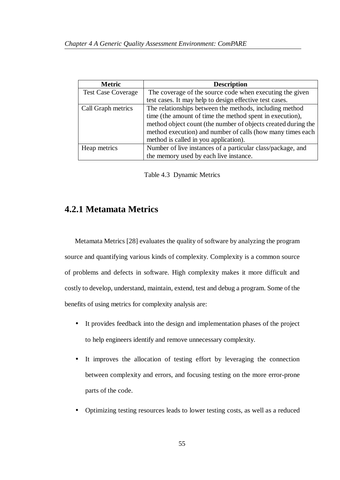| <b>Metric</b>             | <b>Description</b>                                            |  |  |
|---------------------------|---------------------------------------------------------------|--|--|
| <b>Test Case Coverage</b> | The coverage of the source code when executing the given      |  |  |
|                           | test cases. It may help to design effective test cases.       |  |  |
| Call Graph metrics        | The relationships between the methods, including method       |  |  |
|                           | time (the amount of time the method spent in execution),      |  |  |
|                           | method object count (the number of objects created during the |  |  |
|                           | method execution) and number of calls (how many times each    |  |  |
|                           | method is called in you application).                         |  |  |
| Heap metrics              | Number of live instances of a particular class/package, and   |  |  |
|                           | the memory used by each live instance.                        |  |  |

Table 4.3 Dynamic Metrics

## **4.2.1 Metamata Metrics**

Metamata Metrics [28] evaluates the quality of software by analyzing the program source and quantifying various kinds of complexity. Complexity is a common source of problems and defects in software. High complexity makes it more difficult and costly to develop, understand, maintain, extend, test and debug a program. Some of the benefits of using metrics for complexity analysis are:

- It provides feedback into the design and implementation phases of the project to help engineers identify and remove unnecessary complexity.
- It improves the allocation of testing effort by leveraging the connection between complexity and errors, and focusing testing on the more error-prone parts of the code.
- Optimizing testing resources leads to lower testing costs, as well as a reduced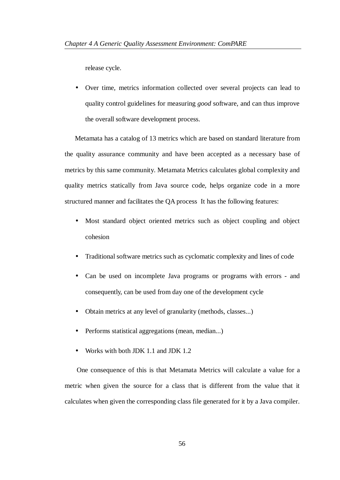release cycle.

• Over time, metrics information collected over several projects can lead to quality control guidelines for measuring *good* software, and can thus improve the overall software development process.

Metamata has a catalog of 13 metrics which are based on standard literature from the quality assurance community and have been accepted as a necessary base of metrics by this same community. Metamata Metrics calculates global complexity and quality metrics statically from Java source code, helps organize code in a more structured manner and facilitates the QA process It has the following features:

- Most standard object oriented metrics such as object coupling and object cohesion
- Traditional software metrics such as cyclomatic complexity and lines of code
- Can be used on incomplete Java programs or programs with errors and consequently, can be used from day one of the development cycle
- Obtain metrics at any level of granularity (methods, classes...)
- Performs statistical aggregations (mean, median...)
- Works with both JDK 1.1 and JDK 1.2

One consequence of this is that Metamata Metrics will calculate a value for a metric when given the source for a class that is different from the value that it calculates when given the corresponding class file generated for it by a Java compiler.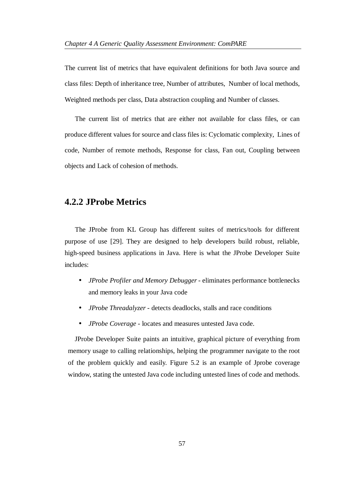The current list of metrics that have equivalent definitions for both Java source and class files: Depth of inheritance tree, Number of attributes, Number of local methods, Weighted methods per class, Data abstraction coupling and Number of classes.

The current list of metrics that are either not available for class files, or can produce different values for source and class files is: Cyclomatic complexity, Lines of code, Number of remote methods, Response for class, Fan out, Coupling between objects and Lack of cohesion of methods.

### **4.2.2 JProbe Metrics**

The JProbe from KL Group has different suites of metrics/tools for different purpose of use [29]. They are designed to help developers build robust, reliable, high-speed business applications in Java. Here is what the JProbe Developer Suite includes:

- *JProbe Profiler and Memory Debugger* eliminates performance bottlenecks and memory leaks in your Java code
- *JProbe Threadalyzer* detects deadlocks, stalls and race conditions
- *JProbe Coverage* locates and measures untested Java code.

JProbe Developer Suite paints an intuitive, graphical picture of everything from memory usage to calling relationships, helping the programmer navigate to the root of the problem quickly and easily. Figure 5.2 is an example of Jprobe coverage window, stating the untested Java code including untested lines of code and methods.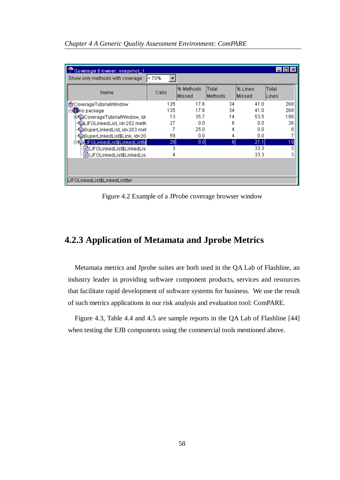| $\blacksquare$ $\blacksquare$<br>Coverage Browser: snapshot_1<br>$\leq 70\%$<br>Show only methods with coverage : |       |                       |                                |                     |                  |  |
|-------------------------------------------------------------------------------------------------------------------|-------|-----------------------|--------------------------------|---------------------|------------------|--|
| Name                                                                                                              | Calls | l% Methods<br>lMissed | <b>Total</b><br><b>Methods</b> | l% Lines<br>lMissed | lTotal<br>lLines |  |
| CoverageTutorialWindow                                                                                            | 135   | 17.6                  | 34                             | 41.0                | 268              |  |
| <b>⊟∰i</b> no package                                                                                             | 135   | 17.6                  | 34                             | 41.0                | 268              |  |
| ⊞े ©CoverageTutorialWindow, id=                                                                                   | 13    | 35.7                  | 14                             | 53.5                | 198              |  |
| SLIFOLinkedList, id=202 meth                                                                                      | 27    | 0.0                   | 6                              | 0.0                 | 36               |  |
| SuperLinkedList, id=203 met@                                                                                      |       | 25.0                  | 4                              | 0.0                 | 8                |  |
| SuperLinkedList\$Link, id=20≨                                                                                     | 59    | 0.0                   | 4                              | 0.0                 |                  |  |
| ESLIFOLinkedList\$LinkedListIte                                                                                   | 29    | 0.0                   | 61                             | 21.1                | 19               |  |
| l≣lLlFOLinkedList\$LinkedLis                                                                                      | 3     |                       |                                | 33.3                | 3                |  |
| <mark>≣</mark> LIFOLinkedList\$LinkedLis                                                                          | 4     |                       |                                | 33.3                | 3                |  |
| LIFOLinkedList\$LinkedListIter                                                                                    |       |                       |                                |                     |                  |  |

*Chapter 4 A Generic Quality Assessment Environment: ComPARE* 

Figure 4.2 Example of a JProbe coverage browser window

### **4.2.3 Application of Metamata and Jprobe Metrics**

Metamata metrics and Jprobe suites are both used in the QA Lab of Flashline, an industry leader in providing software component products, services and resources that facilitate rapid development of software systems for business. We use the result of such metrics applications in our risk analysis and evaluation tool: ComPARE.

Figure 4.3, Table 4.4 and 4.5 are sample reports in the QA Lab of Flashline [44] when testing the EJB components using the commercial tools mentioned above.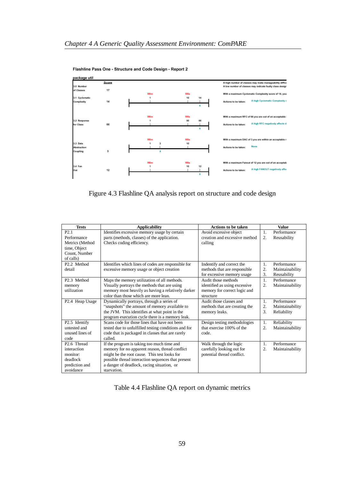

Flashline Pass One - Structure and Code Design - Report 2



| <b>Tests</b>                                                                                  | <b>Applicability</b>                                                                                                                                                                                                                                            | <b>Actions to be taken</b>                                                                        |                            | <b>Value</b>                                  |
|-----------------------------------------------------------------------------------------------|-----------------------------------------------------------------------------------------------------------------------------------------------------------------------------------------------------------------------------------------------------------------|---------------------------------------------------------------------------------------------------|----------------------------|-----------------------------------------------|
| P2.1<br>Performance<br>Metrics (Method<br>time, Object<br>Count. Number<br>of calls)          | Identifies excessive memory usage by certain<br>parts (methods, classes) of the application.<br>Checks coding efficiency.                                                                                                                                       | Avoid excessive object<br>creation and excessive method<br>calling                                | 1.<br>2.                   | Performance<br>Reusability                    |
| P <sub>2.2</sub> Method<br>detail                                                             | Identifies which lines of codes are responsible for<br>excessive memory usage or object creation                                                                                                                                                                | Indentify and correct the<br>methods that are responsible<br>for excessive memory usage           | 1.<br>2.<br>3.             | Performance<br>Maintainability<br>Reusability |
| P <sub>2.3</sub> Method<br>memory<br>utilization                                              | Maps the memory utilization of all methods.<br>Visually portrays the methods that are using<br>memory most heavily as having a relatively darker<br>color than those which are more lean.                                                                       | Audit those methods<br>identified as using excessive<br>memory for correct logic and<br>structure | 1.<br>$\overline{2}$ .     | Performance<br>Maintainability                |
| P2.4 Heap Usage                                                                               | Dynamically portrays, through a series of<br>"snapshots" the amount of memory available to<br>the JVM. This identifies at what point in the<br>program execution cycle there is a memory leak.                                                                  | Audit those classes and<br>methods that are creating the<br>memory leaks.                         | $\mathbf{1}$ .<br>2.<br>3. | Performance<br>Maintainability<br>Reliability |
| P <sub>2.5</sub> Identify<br>untested and<br>unused lines of<br>code                          | Scans code for those lines that have not been<br>tested due to unfulfilled testing conditions and for<br>code that is packaged in classes that are rarely<br>called.                                                                                            | Design testing methodologies<br>that exercise 100% of the<br>code.                                | 1.<br>2.                   | Reliability<br>Maintainability                |
| P <sub>2.6</sub> Thread<br>interaction<br>monitor:<br>deadlock<br>prediction and<br>avoidance | If the program is taking too much time and<br>memory for no apparent reason, thread conflict<br>might be the root cause. This test looks for<br>possible thread interaction sequences that present<br>a danger of deadlock, racing situation, or<br>starvation. | Walk through the logic<br>carefully looking out for<br>potential thread conflict.                 | $\mathbf{1}$ .<br>2.       | Performance<br>Maintainability                |

Table 4.4 Flashline QA report on dynamic metrics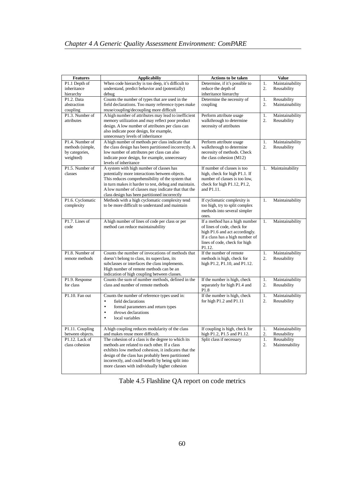| <b>Features</b>                | <b>Applicabiliy</b>                                                                                     | Actions to be taken                                           |                  | <b>Value</b>    |
|--------------------------------|---------------------------------------------------------------------------------------------------------|---------------------------------------------------------------|------------------|-----------------|
| P1.1 Depth of                  | When code hierarchy is too deep, it's difficult to                                                      | Determine, if it's possible to                                | 1.               | Maintainability |
| inheritance                    | understand, predict behavior and (potentially)                                                          | reduce the depth of                                           | 2.               | Reusability     |
| hierarchy                      | debug                                                                                                   | inheritance hierarchy                                         |                  |                 |
| P1.2. Data                     | Counts the number of types that are used in the                                                         | Determine the necessity of                                    | 1.               | Reusability     |
| abstraction                    | field declarations. Too many reference types make                                                       | coupling                                                      | 2.               | Maintainability |
| coupling                       | reuse/coupling/decoupling more difficult                                                                |                                                               |                  |                 |
| P1.3. Number of                | A high number of attributes may lead to inefficient                                                     | Perform attribute usage                                       | 1.               | Maintainability |
| attributes                     | memory utilization and may reflect poor product<br>design. A low number of attributes per class can     | walkthrough to determine<br>necessity of attributes           | 2.               | Reusability     |
|                                | also indicate poor design, for example,                                                                 |                                                               |                  |                 |
|                                | unnecessary levels of inheritance                                                                       |                                                               |                  |                 |
| P1.4. Number of                | A high number of methods per class indicate that                                                        | Perform attribute usage                                       | 1.               | Maintainability |
| methods (simple,               | the class design has been partitioned incorrectly. A                                                    | walkthrough to determine                                      | $\overline{2}$ . | Reusability     |
| by categories,                 | low number of attributes per class can also                                                             | necessity of methods. Check                                   |                  |                 |
| weighted)                      | indicate poor design, for example, unnecessary                                                          | the class cohesion (M12)                                      |                  |                 |
|                                | levels of inheritance                                                                                   |                                                               |                  |                 |
| P1.5. Number of                | A system with high number of classes has                                                                | If number of classes is too                                   | 1.               | Maintainability |
| classes                        | potentially more interactions between objects.                                                          | high, check for high P1.1. If                                 |                  |                 |
|                                | This reduces comprehensibility of the system that                                                       | number of classes is too low,                                 |                  |                 |
|                                | in turn makes it harder to test, debug and maintain.                                                    | check for high P1.12, P1.2,                                   |                  |                 |
|                                | A low number of classes may indicate that that the                                                      | and P1.11.                                                    |                  |                 |
|                                | class design has been partitioned incorrectly                                                           |                                                               | 1.               |                 |
| P1.6. Cyclomatic<br>complexity | Methods with a high cyclomatic complexity tend<br>to be more difficult to understand and maintain       | If cyclomatic complexity is<br>too high, try to split complex |                  | Maintainability |
|                                |                                                                                                         | methods into several simpler                                  |                  |                 |
|                                |                                                                                                         | ones.                                                         |                  |                 |
| P1.7. Lines of                 | A high number of lines of code per class or per                                                         | If a method has a high number                                 | 1.               | Maintainability |
| code                           | method can reduce maintainability                                                                       | of lines of code, check for                                   |                  |                 |
|                                |                                                                                                         | high P1.6 and act accordingly.                                |                  |                 |
|                                |                                                                                                         | If a class has a high number of                               |                  |                 |
|                                |                                                                                                         | lines of code, check for high                                 |                  |                 |
|                                |                                                                                                         | P1.12.                                                        |                  |                 |
| P1.8. Number of                | Counts the number of invocations of methods that                                                        | If the number of remote                                       | 1.               | Maintainability |
| remote methods                 | doesn't belong to class, its superclass, its                                                            | methods is high, check for                                    | 2.               | Reusability     |
|                                | subclasses or interfaces the class implements.                                                          | high P1.2, P1.10, and P1.12.                                  |                  |                 |
|                                | High number of remote methods can be an                                                                 |                                                               |                  |                 |
| P1.9. Response                 | indication of high coupling between classes.<br>Counts the sum of number methods, defined in the        | If the number is high, check                                  | 1.               | Maintainability |
| for class                      | class and number of remote methods                                                                      | separately for high P1.4 and                                  | 2.               | Reusability     |
|                                |                                                                                                         | P1.8                                                          |                  |                 |
| P1.10. Fan out                 | Counts the number of reference types used in:                                                           | If the number is high, check                                  | 1.               | Maintainability |
|                                | field declarations<br>$\bullet$                                                                         | for high P1.2 and P1.11                                       | 2.               | Reusability     |
|                                | formal parameters and return types<br>$\bullet$                                                         |                                                               |                  |                 |
|                                | throws declarations<br>$\bullet$                                                                        |                                                               |                  |                 |
|                                | local variables<br>$\bullet$                                                                            |                                                               |                  |                 |
|                                |                                                                                                         |                                                               |                  |                 |
| P1.11. Coupling                | A high coupling reduces modularity of the class                                                         | If coupling is high, check for                                | 1.               | Maintainability |
| between objects.               | and makes reuse more difficult.                                                                         | high P1.2, P1.5 and P1.12.                                    | 2.               | Reusability     |
| P1.12. Lack of                 | The cohesion of a class is the degree to which its                                                      | Split class if necessary                                      | 1.               | Reusability     |
| class cohesion                 | methods are related to each other. If a class                                                           |                                                               | 2.               | Maintenability  |
|                                | exhibits low method cohesion, it indicates that the                                                     |                                                               |                  |                 |
|                                | design of the class has probably been partitioned<br>incorrectly, and could benefit by being split into |                                                               |                  |                 |
|                                | more classes with individually higher cohesion                                                          |                                                               |                  |                 |
|                                |                                                                                                         |                                                               |                  |                 |

Table 4.5 Flashline QA report on code metrics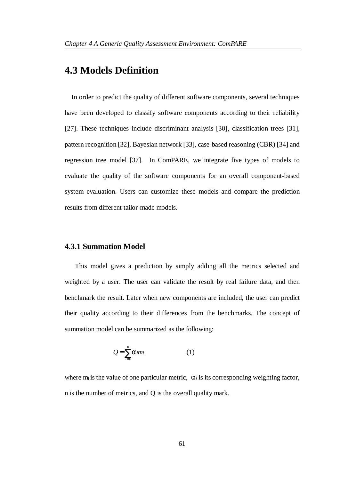# **4.3 Models Definition**

In order to predict the quality of different software components, several techniques have been developed to classify software components according to their reliability [27]. These techniques include discriminant analysis [30], classification trees [31], pattern recognition [32], Bayesian network [33], case-based reasoning (CBR) [34] and regression tree model [37]. In ComPARE, we integrate five types of models to evaluate the quality of the software components for an overall component-based system evaluation. Users can customize these models and compare the prediction results from different tailor-made models.

#### **4.3.1 Summation Model**

This model gives a prediction by simply adding all the metrics selected and weighted by a user. The user can validate the result by real failure data, and then benchmark the result. Later when new components are included, the user can predict their quality according to their differences from the benchmarks. The concept of summation model can be summarized as the following:

$$
Q = \sum_{i=1}^{n} a_i m_i \tag{1}
$$

where  $m_i$  is the value of one particular metric,  $a_i$  is its corresponding weighting factor, n is the number of metrics, and Q is the overall quality mark.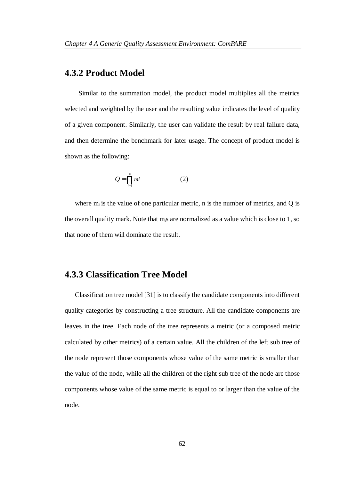### **4.3.2 Product Model**

 Similar to the summation model, the product model multiplies all the metrics selected and weighted by the user and the resulting value indicates the level of quality of a given component. Similarly, the user can validate the result by real failure data, and then determine the benchmark for later usage. The concept of product model is shown as the following:

$$
Q = \prod_{i=1}^{n} mi
$$
 (2)

where  $m_i$  is the value of one particular metric, n is the number of metrics, and Q is the overall quality mark. Note that mis are normalized as a value which is close to 1, so that none of them will dominate the result.

## **4.3.3 Classification Tree Model**

Classification tree model [31] is to classify the candidate components into different quality categories by constructing a tree structure. All the candidate components are leaves in the tree. Each node of the tree represents a metric (or a composed metric calculated by other metrics) of a certain value. All the children of the left sub tree of the node represent those components whose value of the same metric is smaller than the value of the node, while all the children of the right sub tree of the node are those components whose value of the same metric is equal to or larger than the value of the node.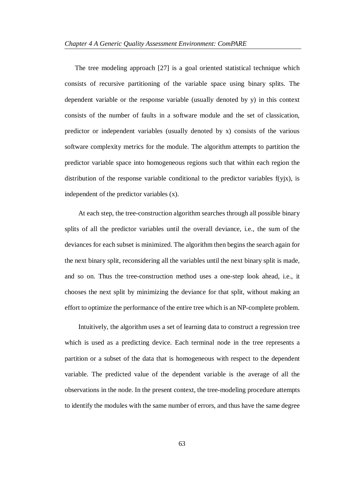The tree modeling approach [27] is a goal oriented statistical technique which consists of recursive partitioning of the variable space using binary splits. The dependent variable or the response variable (usually denoted by y) in this context consists of the number of faults in a software module and the set of classication, predictor or independent variables (usually denoted by x) consists of the various software complexity metrics for the module. The algorithm attempts to partition the predictor variable space into homogeneous regions such that within each region the distribution of the response variable conditional to the predictor variables f(yjx), is independent of the predictor variables (x).

At each step, the tree-construction algorithm searches through all possible binary splits of all the predictor variables until the overall deviance, i.e., the sum of the deviances for each subset is minimized. The algorithm then begins the search again for the next binary split, reconsidering all the variables until the next binary split is made, and so on. Thus the tree-construction method uses a one-step look ahead, i.e., it chooses the next split by minimizing the deviance for that split, without making an effort to optimize the performance of the entire tree which is an NP-complete problem.

Intuitively, the algorithm uses a set of learning data to construct a regression tree which is used as a predicting device. Each terminal node in the tree represents a partition or a subset of the data that is homogeneous with respect to the dependent variable. The predicted value of the dependent variable is the average of all the observations in the node. In the present context, the tree-modeling procedure attempts to identify the modules with the same number of errors, and thus have the same degree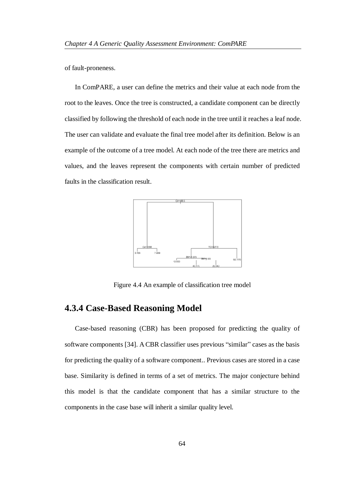of fault-proneness.

In ComPARE, a user can define the metrics and their value at each node from the root to the leaves. Once the tree is constructed, a candidate component can be directly classified by following the threshold of each node in the tree until it reaches a leaf node. The user can validate and evaluate the final tree model after its definition. Below is an example of the outcome of a tree model. At each node of the tree there are metrics and values, and the leaves represent the components with certain number of predicted faults in the classification result.



Figure 4.4 An example of classification tree model

### **4.3.4 Case-Based Reasoning Model**

Case-based reasoning (CBR) has been proposed for predicting the quality of software components [34]. A CBR classifier uses previous "similar" cases as the basis for predicting the quality of a software component.. Previous cases are stored in a case base. Similarity is defined in terms of a set of metrics. The major conjecture behind this model is that the candidate component that has a similar structure to the components in the case base will inherit a similar quality level.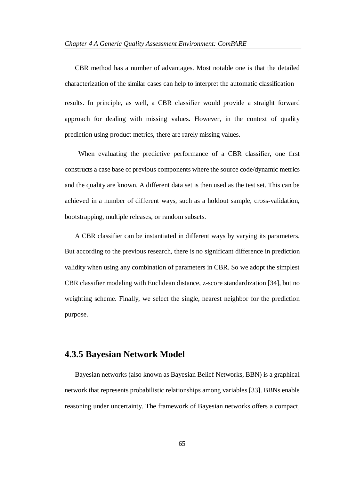CBR method has a number of advantages. Most notable one is that the detailed characterization of the similar cases can help to interpret the automatic classification results. In principle, as well, a CBR classifier would provide a straight forward approach for dealing with missing values. However, in the context of quality prediction using product metrics, there are rarely missing values.

When evaluating the predictive performance of a CBR classifier, one first constructs a case base of previous components where the source code/dynamic metrics and the quality are known. A different data set is then used as the test set. This can be achieved in a number of different ways, such as a holdout sample, cross-validation, bootstrapping, multiple releases, or random subsets.

A CBR classifier can be instantiated in different ways by varying its parameters. But according to the previous research, there is no significant difference in prediction validity when using any combination of parameters in CBR. So we adopt the simplest CBR classifier modeling with Euclidean distance, z-score standardization [34], but no weighting scheme. Finally, we select the single, nearest neighbor for the prediction purpose.

#### **4.3.5 Bayesian Network Model**

Bayesian networks (also known as Bayesian Belief Networks, BBN) is a graphical network that represents probabilistic relationships among variables [33]. BBNs enable reasoning under uncertainty. The framework of Bayesian networks offers a compact,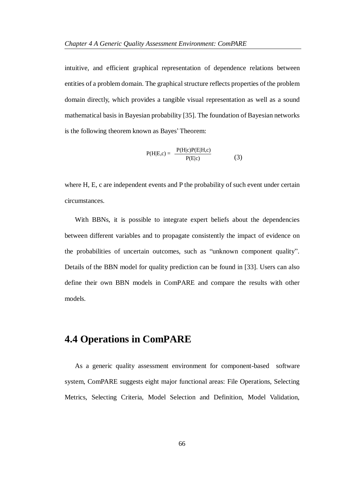intuitive, and efficient graphical representation of dependence relations between entities of a problem domain. The graphical structure reflects properties of the problem domain directly, which provides a tangible visual representation as well as a sound mathematical basis in Bayesian probability [35]. The foundation of Bayesian networks is the following theorem known as Bayes'Theorem:

$$
P(H|E,c) = \frac{P(H|c)P(E|H,c)}{P(E|c)}
$$
(3)

where H, E, c are independent events and P the probability of such event under certain circumstances.

With BBNs, it is possible to integrate expert beliefs about the dependencies between different variables and to propagate consistently the impact of evidence on the probabilities of uncertain outcomes, such as "unknown component quality". Details of the BBN model for quality prediction can be found in [33]. Users can also define their own BBN models in ComPARE and compare the results with other models.

## **4.4 Operations in ComPARE**

As a generic quality assessment environment for component-based software system, ComPARE suggests eight major functional areas: File Operations, Selecting Metrics, Selecting Criteria, Model Selection and Definition, Model Validation,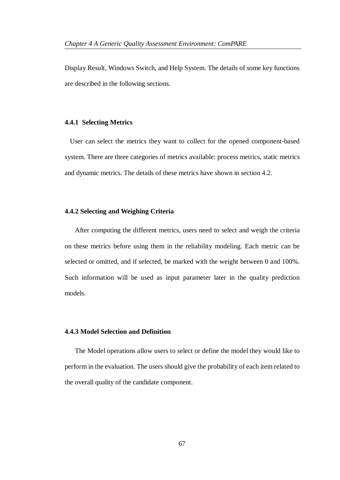Display Result, Windows Switch, and Help System. The details of some key functions are described in the following sections.

#### **4.4.1 Selecting Metrics**

User can select the metrics they want to collect for the opened component-based system. There are three categories of metrics available: process metrics, static metrics and dynamic metrics. The details of these metrics have shown in section 4.2.

#### **4.4.2 Selecting and Weighing Criteria**

After computing the different metrics, users need to select and weigh the criteria on these metrics before using them in the reliability modeling. Each metric can be selected or omitted, and if selected, be marked with the weight between 0 and 100%. Such information will be used as input parameter later in the quality prediction models.

#### **4.4.3 Model Selection and Definition**

The Model operations allow users to select or define the model they would like to perform in the evaluation. The users should give the probability of each item related to the overall quality of the candidate component.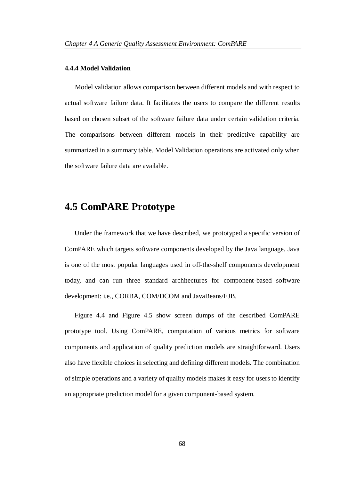#### **4.4.4 Model Validation**

Model validation allows comparison between different models and with respect to actual software failure data. It facilitates the users to compare the different results based on chosen subset of the software failure data under certain validation criteria. The comparisons between different models in their predictive capability are summarized in a summary table. Model Validation operations are activated only when the software failure data are available.

### **4.5 ComPARE Prototype**

Under the framework that we have described, we prototyped a specific version of ComPARE which targets software components developed by the Java language. Java is one of the most popular languages used in off-the-shelf components development today, and can run three standard architectures for component-based software development: i.e., CORBA, COM/DCOM and JavaBeans/EJB.

Figure 4.4 and Figure 4.5 show screen dumps of the described ComPARE prototype tool. Using ComPARE, computation of various metrics for software components and application of quality prediction models are straightforward. Users also have flexible choices in selecting and defining different models. The combination of simple operations and a variety of quality models makes it easy for users to identify an appropriate prediction model for a given component-based system.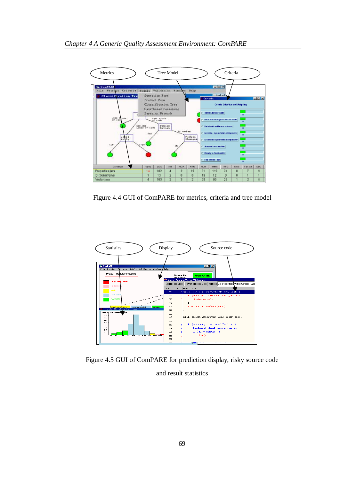

Figure 4.4 GUI of ComPARE for metrics, criteria and tree model



Figure 4.5 GUI of ComPARE for prediction display, risky source code

and result statistics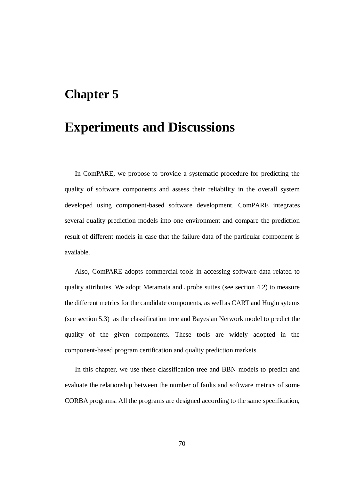## **Chapter 5**

## **Experiments and Discussions**

In ComPARE, we propose to provide a systematic procedure for predicting the quality of software components and assess their reliability in the overall system developed using component-based software development. ComPARE integrates several quality prediction models into one environment and compare the prediction result of different models in case that the failure data of the particular component is available.

Also, ComPARE adopts commercial tools in accessing software data related to quality attributes. We adopt Metamata and Jprobe suites (see section 4.2) to measure the different metrics for the candidate components, as well as CART and Hugin sytems (see section 5.3) as the classification tree and Bayesian Network model to predict the quality of the given components. These tools are widely adopted in the component-based program certification and quality prediction markets.

In this chapter, we use these classification tree and BBN models to predict and evaluate the relationship between the number of faults and software metrics of some CORBA programs. All the programs are designed according to the same specification,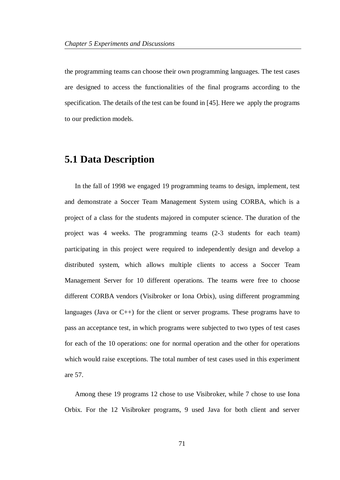the programming teams can choose their own programming languages. The test cases are designed to access the functionalities of the final programs according to the specification. The details of the test can be found in [45]. Here we apply the programs to our prediction models.

### **5.1 Data Description**

In the fall of 1998 we engaged 19 programming teams to design, implement, test and demonstrate a Soccer Team Management System using CORBA, which is a project of a class for the students majored in computer science. The duration of the project was 4 weeks. The programming teams (2-3 students for each team) participating in this project were required to independently design and develop a distributed system, which allows multiple clients to access a Soccer Team Management Server for 10 different operations. The teams were free to choose different CORBA vendors (Visibroker or Iona Orbix), using different programming languages (Java or  $C_{++}$ ) for the client or server programs. These programs have to pass an acceptance test, in which programs were subjected to two types of test cases for each of the 10 operations: one for normal operation and the other for operations which would raise exceptions. The total number of test cases used in this experiment are 57.

Among these 19 programs 12 chose to use Visibroker, while 7 chose to use Iona Orbix. For the 12 Visibroker programs, 9 used Java for both client and server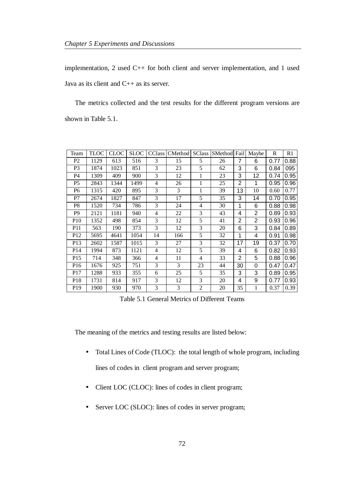implementation, 2 used C++ for both client and server implementation, and 1 used Java as its client and C++ as its server.

The metrics collected and the test results for the different program versions are shown in Table 5.1.

| Team            | TLOC | <b>CLOC</b> | <b>SLOC</b> | <b>CClass</b> | CMethod | <b>SClass</b>  | <b>SMethod</b> | Fail | Maybe          | R    | R1   |
|-----------------|------|-------------|-------------|---------------|---------|----------------|----------------|------|----------------|------|------|
| P <sub>2</sub>  | 1129 | 613         | 516         | 3             | 15      | 5              | 26             | 7    | 6              | 0.77 | 0.88 |
| P3              | 1874 | 1023        | 851         | 3             | 23      | 5              | 62             | 3    | 6              | 0.84 | 095  |
| P4              | 1309 | 409         | 900         | 3             | 12      | 1              | 23             | 3    | 12             | 0.74 | 0.95 |
| P <sub>5</sub>  | 2843 | 1344        | 1499        | 4             | 26      | 1              | 25             | 2    | 1              | 0.95 | 0.96 |
| P <sub>6</sub>  | 1315 | 420         | 895         | 3             | 3       | 1              | 39             | 13   | 10             | 0.60 | 0.77 |
| P7              | 2674 | 1827        | 847         | 3             | 17      | 5              | 35             | 3    | 14             | 0.70 | 0.95 |
| P <sub>8</sub>  | 1520 | 734         | 786         | 3             | 24      | 4              | 30             | 1    | 6              | 0.88 | 0.98 |
| P <sub>9</sub>  | 2121 | 1181        | 940         | 4             | 22      | 3              | 43             | 4    | $\overline{2}$ | 0.89 | 0.93 |
| P <sub>10</sub> | 1352 | 498         | 854         | 3             | 12      | 5              | 41             | 2    | $\overline{2}$ | 0.93 | 0.96 |
| P <sub>11</sub> | 563  | 190         | 373         | 3             | 12      | 3              | 20             | 6    | 3              | 0.84 | 0.89 |
| P <sub>12</sub> | 5695 | 4641        | 1054        | 14            | 166     | 5              | 32             | 1    | 4              | 0.91 | 0.98 |
| P <sub>13</sub> | 2602 | 1587        | 1015        | 3             | 27      | 3              | 32             | 17   | 19             | 0.37 | 0.70 |
| P <sub>14</sub> | 1994 | 873         | 1121        | 4             | 12      | 5              | 39             | 4    | 6              | 0.82 | 0.93 |
| P <sub>15</sub> | 714  | 348         | 366         | 4             | 11      | $\overline{4}$ | 33             | 2    | 5              | 0.88 | 0.96 |
| P <sub>16</sub> | 1676 | 925         | 751         | 3             | 3       | 23             | 44             | 30   | 0              | 0.47 | 0.47 |
| P17             | 1288 | 933         | 355         | 6             | 25      | 5              | 35             | 3    | 3              | 0.89 | 0.95 |
| P18             | 1731 | 814         | 917         | 3             | 12      | 3              | 20             | 4    | 9              | 0.77 | 0.93 |
| P <sub>19</sub> | 1900 | 930         | 970         | 3             | 3       | $\overline{2}$ | 20             | 35   | 1              | 0.37 | 0.39 |

Table 5.1 General Metrics of Different Teams

The meaning of the metrics and testing results are listed below:

- Total Lines of Code (TLOC): the total length of whole program, including lines of codes in client program and server program;
- Client LOC (CLOC): lines of codes in client program;
- Server LOC (SLOC): lines of codes in server program;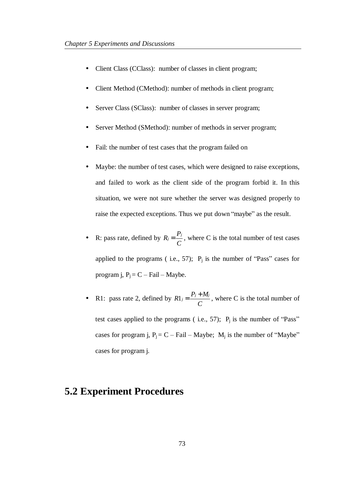- Client Class (CClass): number of classes in client program;
- Client Method (CMethod): number of methods in client program;
- Server Class (SClass): number of classes in server program;
- Server Method (SMethod): number of methods in server program;
- Fail: the number of test cases that the program failed on
- Maybe: the number of test cases, which were designed to raise exceptions, and failed to work as the client side of the program forbid it. In this situation, we were not sure whether the server was designed properly to raise the expected exceptions. Thus we put down "maybe" as the result.
- R: pass rate, defined by  $R_j = \frac{P_j}{Q}$ *C*  $=\frac{1}{2}$ , where C is the total number of test cases applied to the programs ( i.e., 57);  $P_j$  is the number of "Pass" cases for program j,  $P_i = C - Fail - Maybe$ .
- R1: pass rate 2, defined by  $R1_j = \frac{P_j + M_j}{q}$ *C*  $=\frac{P_j+M_j}{2}$ , where C is the total number of test cases applied to the programs ( i.e., 57);  $P_i$  is the number of "Pass" cases for program j,  $P_i = C - Fail - Maybe$ ; M<sub>i</sub> is the number of "Maybe" cases for program j.

### **5.2 Experiment Procedures**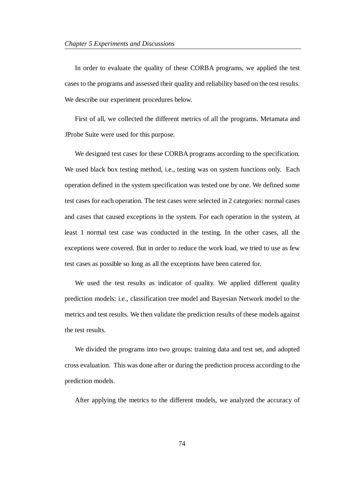In order to evaluate the quality of these CORBA programs, we applied the test cases to the programs and assessed their quality and reliability based on the test results. We describe our experiment procedures below.

First of all, we collected the different metrics of all the programs. Metamata and JProbe Suite were used for this purpose.

We designed test cases for these CORBA programs according to the specification. We used black box testing method, i.e., testing was on system functions only. Each operation defined in the system specification was tested one by one. We defined some test cases for each operation. The test cases were selected in 2 categories: normal cases and cases that caused exceptions in the system. For each operation in the system, at least 1 normal test case was conducted in the testing. In the other cases, all the exceptions were covered. But in order to reduce the work load, we tried to use as few test cases as possible so long as all the exceptions have been catered for.

We used the test results as indicator of quality. We applied different quality prediction models: i.e., classification tree model and Bayesian Network model to the metrics and test results. We then validate the prediction results of these models against the test results.

We divided the programs into two groups: training data and test set, and adopted cross evaluation. This was done after or during the prediction process according to the prediction models.

After applying the metrics to the different models, we analyzed the accuracy of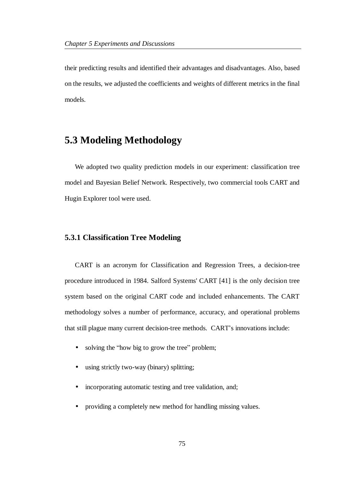their predicting results and identified their advantages and disadvantages. Also, based on the results, we adjusted the coefficients and weights of different metrics in the final models.

## **5.3 Modeling Methodology**

We adopted two quality prediction models in our experiment: classification tree model and Bayesian Belief Network. Respectively, two commercial tools CART and Hugin Explorer tool were used.

#### **5.3.1 Classification Tree Modeling**

CART is an acronym for Classification and Regression Trees, a decision-tree procedure introduced in 1984. Salford Systems' CART [41] is the only decision tree system based on the original CART code and included enhancements. The CART methodology solves a number of performance, accuracy, and operational problems that still plague many current decision-tree methods. CART's innovations include:

- solving the "how big to grow the tree" problem;
- using strictly two-way (binary) splitting;
- incorporating automatic testing and tree validation, and;
- providing a completely new method for handling missing values.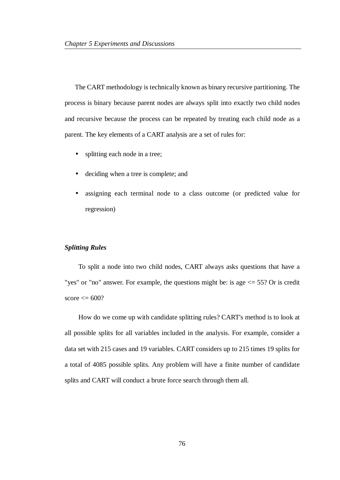The CART methodology is technically known as binary recursive partitioning. The process is binary because parent nodes are always split into exactly two child nodes and recursive because the process can be repeated by treating each child node as a parent. The key elements of a CART analysis are a set of rules for:

- splitting each node in a tree;
- deciding when a tree is complete; and
- assigning each terminal node to a class outcome (or predicted value for regression)

#### *Splitting Rules*

To split a node into two child nodes, CART always asks questions that have a "yes" or "no" answer. For example, the questions might be: is age  $\le$  = 55? Or is credit score  $\leq 600$ ?

How do we come up with candidate splitting rules? CART's method is to look at all possible splits for all variables included in the analysis. For example, consider a data set with 215 cases and 19 variables. CART considers up to 215 times 19 splits for a total of 4085 possible splits. Any problem will have a finite number of candidate splits and CART will conduct a brute force search through them all.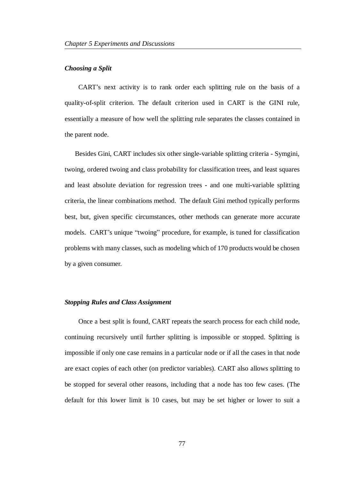#### *Choosing a Split*

CART's next activity is to rank order each splitting rule on the basis of a quality-of-split criterion. The default criterion used in CART is the GINI rule, essentially a measure of how well the splitting rule separates the classes contained in the parent node.

Besides Gini, CART includes six other single-variable splitting criteria - Symgini, twoing, ordered twoing and class probability for classification trees, and least squares and least absolute deviation for regression trees - and one multi-variable splitting criteria, the linear combinations method. The default Gini method typically performs best, but, given specific circumstances, other methods can generate more accurate models. CART's unique "twoing" procedure, for example, is tuned for classification problems with many classes, such as modeling which of 170 products would be chosen by a given consumer.

#### *Stopping Rules and Class Assignment*

Once a best split is found, CART repeats the search process for each child node, continuing recursively until further splitting is impossible or stopped. Splitting is impossible if only one case remains in a particular node or if all the cases in that node are exact copies of each other (on predictor variables). CART also allows splitting to be stopped for several other reasons, including that a node has too few cases. (The default for this lower limit is 10 cases, but may be set higher or lower to suit a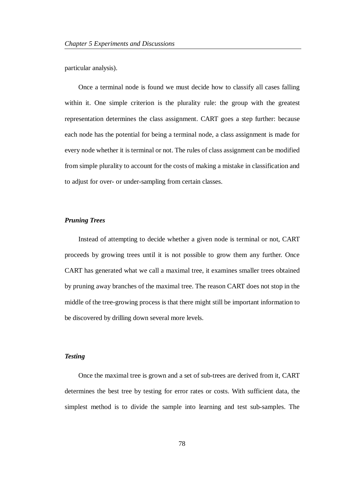particular analysis).

Once a terminal node is found we must decide how to classify all cases falling within it. One simple criterion is the plurality rule: the group with the greatest representation determines the class assignment. CART goes a step further: because each node has the potential for being a terminal node, a class assignment is made for every node whether it is terminal or not. The rules of class assignment can be modified from simple plurality to account for the costs of making a mistake in classification and to adjust for over- or under-sampling from certain classes.

#### *Pruning Trees*

Instead of attempting to decide whether a given node is terminal or not, CART proceeds by growing trees until it is not possible to grow them any further. Once CART has generated what we call a maximal tree, it examines smaller trees obtained by pruning away branches of the maximal tree. The reason CART does not stop in the middle of the tree-growing process is that there might still be important information to be discovered by drilling down several more levels.

#### *Testing*

Once the maximal tree is grown and a set of sub-trees are derived from it, CART determines the best tree by testing for error rates or costs. With sufficient data, the simplest method is to divide the sample into learning and test sub-samples. The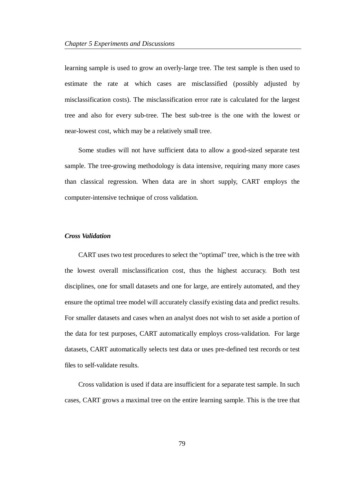learning sample is used to grow an overly-large tree. The test sample is then used to estimate the rate at which cases are misclassified (possibly adjusted by misclassification costs). The misclassification error rate is calculated for the largest tree and also for every sub-tree. The best sub-tree is the one with the lowest or near-lowest cost, which may be a relatively small tree.

Some studies will not have sufficient data to allow a good-sized separate test sample. The tree-growing methodology is data intensive, requiring many more cases than classical regression. When data are in short supply, CART employs the computer-intensive technique of cross validation.

#### *Cross Validation*

CART uses two test procedures to select the "optimal" tree, which is the tree with the lowest overall misclassification cost, thus the highest accuracy. Both test disciplines, one for small datasets and one for large, are entirely automated, and they ensure the optimal tree model will accurately classify existing data and predict results. For smaller datasets and cases when an analyst does not wish to set aside a portion of the data for test purposes, CART automatically employs cross-validation. For large datasets, CART automatically selects test data or uses pre-defined test records or test files to self-validate results.

Cross validation is used if data are insufficient for a separate test sample. In such cases, CART grows a maximal tree on the entire learning sample. This is the tree that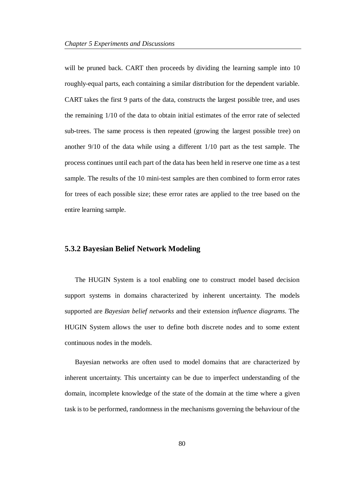will be pruned back. CART then proceeds by dividing the learning sample into 10 roughly-equal parts, each containing a similar distribution for the dependent variable. CART takes the first 9 parts of the data, constructs the largest possible tree, and uses the remaining 1/10 of the data to obtain initial estimates of the error rate of selected sub-trees. The same process is then repeated (growing the largest possible tree) on another 9/10 of the data while using a different 1/10 part as the test sample. The process continues until each part of the data has been held in reserve one time as a test sample. The results of the 10 mini-test samples are then combined to form error rates for trees of each possible size; these error rates are applied to the tree based on the entire learning sample.

#### **5.3.2 Bayesian Belief Network Modeling**

The HUGIN System is a tool enabling one to construct model based decision support systems in domains characterized by inherent uncertainty. The models supported are *Bayesian belief networks* and their extension *influence diagrams*. The HUGIN System allows the user to define both discrete nodes and to some extent continuous nodes in the models.

Bayesian networks are often used to model domains that are characterized by inherent uncertainty. This uncertainty can be due to imperfect understanding of the domain, incomplete knowledge of the state of the domain at the time where a given task is to be performed, randomness in the mechanisms governing the behaviour of the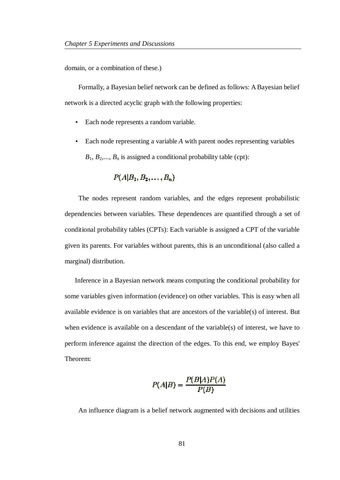domain, or a combination of these.)

Formally, a Bayesian belief network can be defined as follows: A Bayesian belief network is a directed acyclic graph with the following properties:

- Each node represents a random variable.
- Each node representing a variable *A* with parent nodes representing variables  $B_1, B_2, \ldots, B_n$  is assigned a conditional probability table (cpt):

$$
P(A|B_1, B_2, \ldots, B_n)
$$

The nodes represent random variables, and the edges represent probabilistic dependencies between variables. These dependences are quantified through a set of conditional probability tables (CPTs): Each variable is assigned a CPT of the variable given its parents. For variables without parents, this is an unconditional (also called a marginal) distribution.

Inference in a Bayesian network means computing the conditional probability for some variables given information (evidence) on other variables. This is easy when all available evidence is on variables that are ancestors of the variable(s) of interest. But when evidence is available on a descendant of the variable(s) of interest, we have to perform inference against the direction of the edges. To this end, we employ Bayes' Theorem:

$$
P(A|B) = \frac{P(B|A)P(A)}{P(B)}
$$

An influence diagram is a belief network augmented with decisions and utilities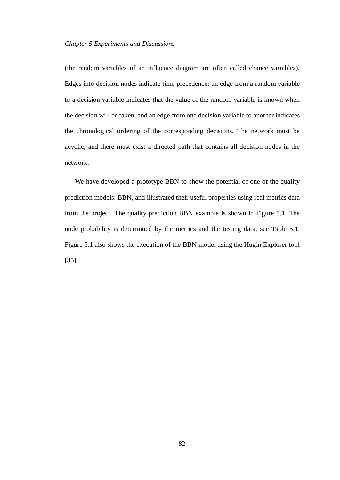(the random variables of an influence diagram are often called chance variables). Edges into decision nodes indicate time precedence: an edge from a random variable to a decision variable indicates that the value of the random variable is known when the decision will be taken, and an edge from one decision variable to another indicates the chronological ordering of the corresponding decisions. The network must be acyclic, and there must exist a directed path that contains all decision nodes in the network.

We have developed a prototype BBN to show the potential of one of the quality prediction models: BBN, and illustrated their useful properties using real metrics data from the project. The quality prediction BBN example is shown in Figure 5.1. The node probability is determined by the metrics and the testing data, see Table 5.1. Figure 5.1 also shows the execution of the BBN model using the Hugin Explorer tool [35].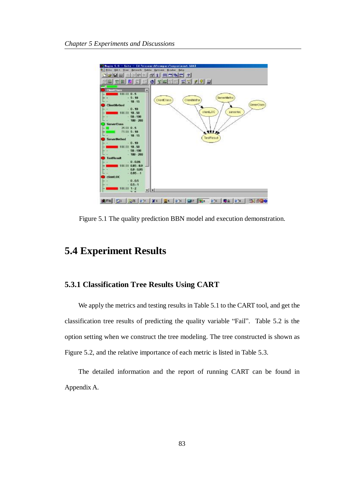

Figure 5.1 The quality prediction BBN model and execution demonstration.

## **5.4 Experiment Results**

#### **5.3.1 Classification Tree Results Using CART**

We apply the metrics and testing results in Table 5.1 to the CART tool, and get the classification tree results of predicting the quality variable "Fail". Table 5.2 is the option setting when we construct the tree modeling. The tree constructed is shown as Figure 5.2, and the relative importance of each metric is listed in Table 5.3.

The detailed information and the report of running CART can be found in Appendix A.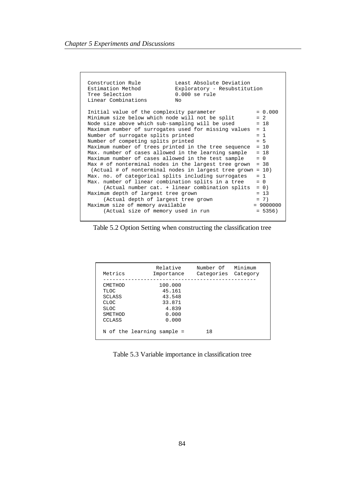| Construction Rule<br>Estimation Method<br>Tree Selection<br>Linear Combinations                                                                                                                                                                                                                                                                                                                                                                                                                                                                                                                                                                                                                                                                                                       | Least Absolute Deviation<br>Exploratory - Resubstitution<br>$0.000$ se rule<br>N∩                        |                                                                                                                                                                                         |
|---------------------------------------------------------------------------------------------------------------------------------------------------------------------------------------------------------------------------------------------------------------------------------------------------------------------------------------------------------------------------------------------------------------------------------------------------------------------------------------------------------------------------------------------------------------------------------------------------------------------------------------------------------------------------------------------------------------------------------------------------------------------------------------|----------------------------------------------------------------------------------------------------------|-----------------------------------------------------------------------------------------------------------------------------------------------------------------------------------------|
| Initial value of the complexity parameter<br>Minimum size below which node will not be split<br>Node size above which sub-sampling will be used<br>Maximum number of surrogates used for missing values<br>Number of surrogate splits printed<br>Number of competing splits printed<br>Maximum number of trees printed in the tree sequence<br>Max. number of cases allowed in the learning sample<br>Maximum number of cases allowed in the test sample<br>Max # of nonterminal nodes in the largest tree grown<br>Max. no. of categorical splits including surrogates<br>Max. number of linear combination splits in a tree<br>Maximum depth of largest tree grown<br>(Actual depth of largest tree grown<br>Maximum size of memory available<br>(Actual size of memory used in run | (Actual # of nonterminal nodes in largest tree grown<br>(Actual number cat. + linear combination splits) | $= 0.000$<br>$= 2$<br>$= 18$<br>$= 1$<br>$= 1$<br>$= 5$<br>$= 10$<br>$= 18$<br>$= 0$<br>$= 38$<br>$= 10)$<br>$= 1$<br>$= 0$<br>0)<br>$=$<br>$= 13$<br>$= 7)$<br>$= 9000000$<br>$= 5356$ |

Table 5.2 Option Setting when constructing the classification tree

| Metrics       | Relative<br>Importance     | Number Of<br>Categories | Minimum<br>Category |
|---------------|----------------------------|-------------------------|---------------------|
| CMETHOD       | 100.000                    |                         |                     |
| TLOC          | 45.161                     |                         |                     |
| <b>SCLASS</b> | 43.548                     |                         |                     |
| <b>CLOC</b>   | 33.871                     |                         |                     |
| <b>SLOC</b>   | 4.839                      |                         |                     |
| SMETHOD       | 0.000                      |                         |                     |
| CCLASS        | 0.000                      |                         |                     |
|               | N of the learning sample = | 18                      |                     |

Table 5.3 Variable importance in classification tree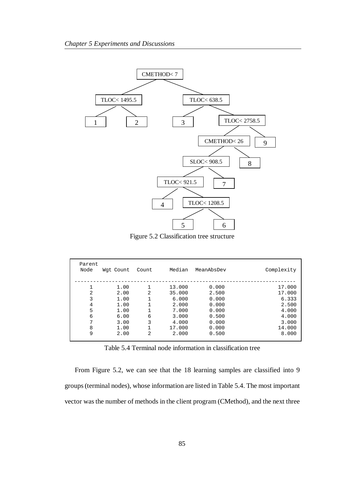

Figure 5.2 Classification tree structure

| Parent<br>Node | Wgt Count | Count | Median | MeanAbsDev | Complexity |
|----------------|-----------|-------|--------|------------|------------|
|                | 1.00      | 1     | 13.000 | 0.000      | 17.000     |
| 2              | 2.00      | 2     | 35.000 | 2.500      | 17.000     |
| 3              | 1.00      |       | 6.000  | 0.000      | 6.333      |
| 4              | 1.00      | 1     | 2.000  | 0.000      | 2.500      |
| 5              | 1.00      |       | 7.000  | 0.000      | 4.000      |
| 6              | 6.00      | 6     | 3.000  | 0.500      | 4.000      |
| 7              | 3.00      | 3     | 4.000  | 0.000      | 3.000      |
| 8              | 1.00      |       | 17.000 | 0.000      | 14.000     |
| 9              | 2.00      | 2     | 2.000  | 0.500      | 8,000      |

Table 5.4 Terminal node information in classification tree

From Figure 5.2, we can see that the 18 learning samples are classified into 9 groups (terminal nodes), whose information are listed in Table 5.4. The most important vector wasthe number of methods in the client program (CMethod), and the next three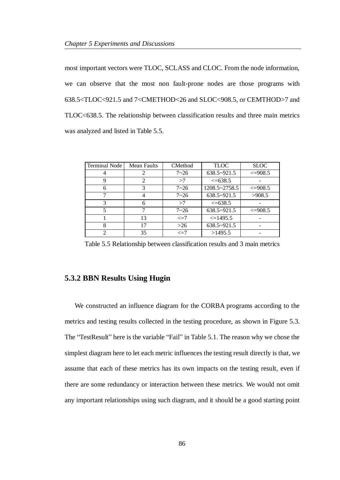most important vectors were TLOC, SCLASS and CLOC. From the node information, we can observe that the most non fault-prone nodes are those programs with 638.5<TLOC<921.5 and 7<CMETHOD<26 and SLOC<908.5, or CEMTHOD>7 and TLOC<638.5. The relationship between classification results and three main metrics was analyzed and listed in Table 5.5.

| Terminal Node  | Mean Faults | <b>CMethod</b> | <b>TLOC</b>     | <b>SLOC</b>   |
|----------------|-------------|----------------|-----------------|---------------|
|                |             | $7 - 26$       | $638.5 - 921.5$ | $\leq$ =908.5 |
| 9              | 2           | >7             | $\leq 638.5$    |               |
| 6              | 3           | $7 - 26$       | 1208.5~2758.5   | $\leq$ =908.5 |
| 7              |             | $7 - 26$       | $638.5 - 921.5$ | >908.5        |
| 3              |             | >7             | $\leq 638.5$    |               |
| 5              |             | $7 - 26$       | $638.5 - 921.5$ | $\leq$ =908.5 |
|                | 13          | $\leq$ =7      | $\leq$ =1495.5  |               |
| 8              | 17          | >26            | $638.5 - 921.5$ |               |
| $\mathfrak{D}$ | 35          | $\leq$ =7      | >1495.5         |               |

Table 5.5 Relationship between classification results and 3 main metrics

#### **5.3.2 BBN Results Using Hugin**

We constructed an influence diagram for the CORBA programs according to the metrics and testing results collected in the testing procedure, as shown in Figure 5.3. The "TestResult" here is the variable "Fail" in Table 5.1. The reason why we chose the simplest diagram here to let each metric influences the testing result directly is that, we assume that each of these metrics has its own impacts on the testing result, even if there are some redundancy or interaction between these metrics. We would not omit any important relationships using such diagram, and it should be a good starting point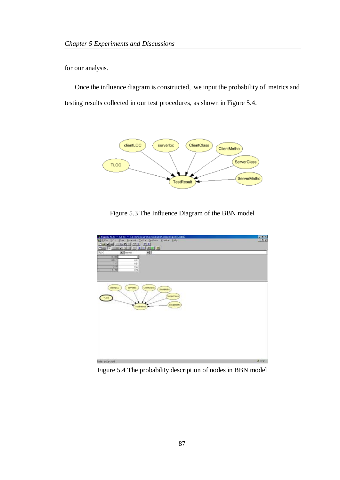for our analysis.

Once the influence diagram is constructed, we input the probability of metrics and testing results collected in our test procedures, as shown in Figure 5.4.



Figure 5.3 The Influence Diagram of the BBN model



Figure 5.4 The probability description of nodes in BBN model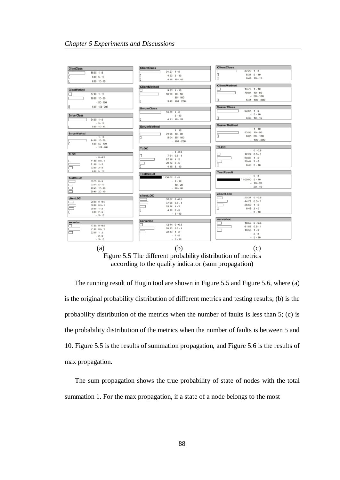

according to the quality indicator (sum propagation)

The running result of Hugin tool are shown in Figure 5.5 and Figure 5.6, where (a) is the original probability distribution of different metrics and testing results; (b) is the probability distribution of the metrics when the number of faults is less than 5; (c) is the probability distribution of the metrics when the number of faults is between 5 and 10. Figure 5.5 is the results of summation propagation, and Figure 5.6 is the results of max propagation.

The sum propagation shows the true probability of state of nodes with the total summation 1. For the max propagation, if a state of a node belongs to the most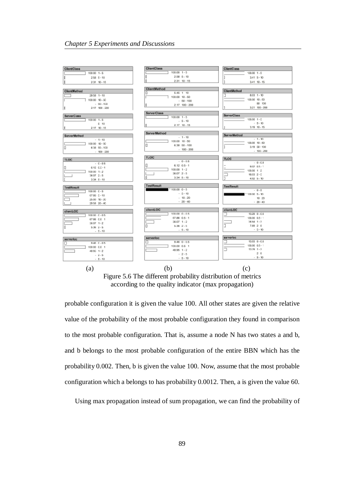

Figure 5.6 The different probability distribution of metrics according to the quality indicator (max propagation)

probable configuration it is given the value 100. All other states are given the relative value of the probability of the most probable configuration they found in comparison to the most probable configuration. That is, assume a node N has two states a and b, and b belongs to the most probable configuration of the entire BBN which has the probability 0.002. Then, b is given the value 100. Now, assume that the most probable configuration which a belongs to has probability 0.0012. Then, a is given the value 60.

Using max propagation instead of sum propagation, we can find the probability of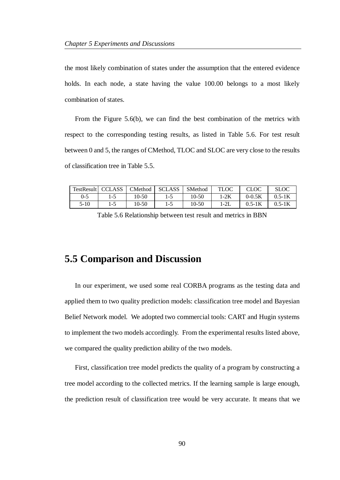the most likely combination of states under the assumption that the entered evidence holds. In each node, a state having the value 100.00 belongs to a most likely combination of states.

From the Figure 5.6(b), we can find the best combination of the metrics with respect to the corresponding testing results, as listed in Table 5.6. For test result between 0 and 5, the ranges of CMethod, TLOC and SLOC are very close to the results of classification tree in Table 5.5.

| TestResult | <b>CCLASS</b> | <b>CMethod</b> | <b>SCLASS</b> | SMethod | <b>TLOC</b> | <b>CLOC</b> | SLOC   |
|------------|---------------|----------------|---------------|---------|-------------|-------------|--------|
| $0 - 5$    | $1  5$        | $10-50$        |               | 10-50   | $1-2K$      | $0 - 0.5K$  | 0.5-1K |
| $5-10$     | l-5           | $10-50$        |               | 10-50   | $1-2L$      | $0.5 - 1K$  | 0.5-1K |

Table 5.6 Relationship between test result and metrics in BBN

## **5.5 Comparison and Discussion**

In our experiment, we used some real CORBA programs as the testing data and applied them to two quality prediction models: classification tree model and Bayesian Belief Network model. We adopted two commercial tools: CART and Hugin systems to implement the two models accordingly. From the experimental results listed above, we compared the quality prediction ability of the two models.

First, classification tree model predicts the quality of a program by constructing a tree model according to the collected metrics. If the learning sample is large enough, the prediction result of classification tree would be very accurate. It means that we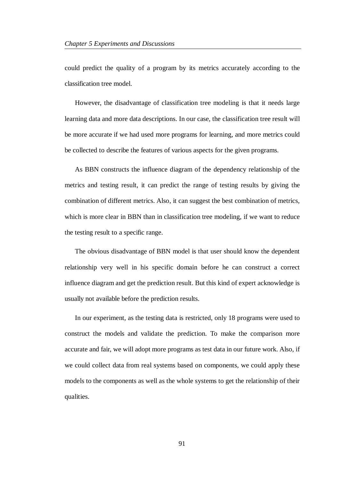could predict the quality of a program by its metrics accurately according to the classification tree model.

However, the disadvantage of classification tree modeling is that it needs large learning data and more data descriptions. In our case, the classification tree result will be more accurate if we had used more programs for learning, and more metrics could be collected to describe the features of various aspects for the given programs.

As BBN constructs the influence diagram of the dependency relationship of the metrics and testing result, it can predict the range of testing results by giving the combination of different metrics. Also, it can suggest the best combination of metrics, which is more clear in BBN than in classification tree modeling, if we want to reduce the testing result to a specific range.

The obvious disadvantage of BBN model is that user should know the dependent relationship very well in his specific domain before he can construct a correct influence diagram and get the prediction result. But this kind of expert acknowledge is usually not available before the prediction results.

In our experiment, as the testing data is restricted, only 18 programs were used to construct the models and validate the prediction. To make the comparison more accurate and fair, we will adopt more programs as test data in our future work. Also, if we could collect data from real systems based on components, we could apply these models to the components as well as the whole systems to get the relationship of their qualities.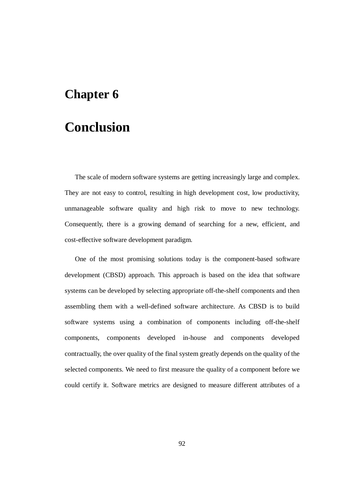## **Chapter 6**

## **Conclusion**

The scale of modern software systems are getting increasingly large and complex. They are not easy to control, resulting in high development cost, low productivity, unmanageable software quality and high risk to move to new technology. Consequently, there is a growing demand of searching for a new, efficient, and cost-effective software development paradigm.

One of the most promising solutions today is the component-based software development (CBSD) approach. This approach is based on the idea that software systems can be developed by selecting appropriate off-the-shelf components and then assembling them with a well-defined software architecture. As CBSD is to build software systems using a combination of components including off-the-shelf components, components developed in-house and components developed contractually, the over quality of the final system greatly depends on the quality of the selected components. We need to first measure the quality of a component before we could certify it. Software metrics are designed to measure different attributes of a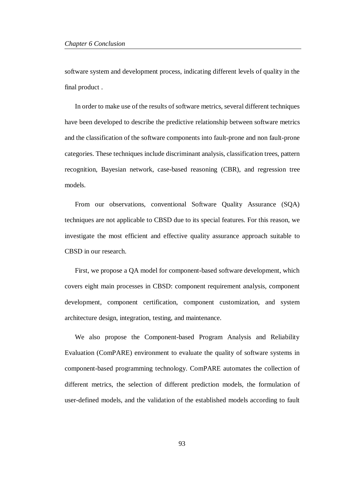software system and development process, indicating different levels of quality in the final product .

In order to make use of the results of software metrics, several different techniques have been developed to describe the predictive relationship between software metrics and the classification of the software components into fault-prone and non fault-prone categories. These techniques include discriminant analysis, classification trees, pattern recognition, Bayesian network, case-based reasoning (CBR), and regression tree models.

From our observations, conventional Software Quality Assurance (SQA) techniques are not applicable to CBSD due to its special features. For this reason, we investigate the most efficient and effective quality assurance approach suitable to CBSD in our research.

First, we propose a QA model for component-based software development, which covers eight main processes in CBSD: component requirement analysis, component development, component certification, component customization, and system architecture design, integration, testing, and maintenance.

We also propose the Component-based Program Analysis and Reliability Evaluation (ComPARE) environment to evaluate the quality of software systems in component-based programming technology. ComPARE automates the collection of different metrics, the selection of different prediction models, the formulation of user-defined models, and the validation of the established models according to fault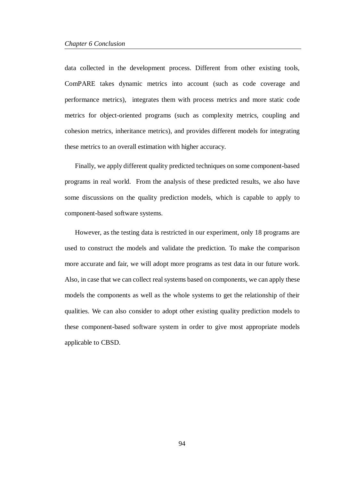data collected in the development process. Different from other existing tools, ComPARE takes dynamic metrics into account (such as code coverage and performance metrics), integrates them with process metrics and more static code metrics for object-oriented programs (such as complexity metrics, coupling and cohesion metrics, inheritance metrics), and provides different models for integrating these metrics to an overall estimation with higher accuracy.

Finally, we apply different quality predicted techniques on some component-based programs in real world. From the analysis of these predicted results, we also have some discussions on the quality prediction models, which is capable to apply to component-based software systems.

However, as the testing data is restricted in our experiment, only 18 programs are used to construct the models and validate the prediction. To make the comparison more accurate and fair, we will adopt more programs as test data in our future work. Also, in case that we can collect real systems based on components, we can apply these models the components as well as the whole systems to get the relationship of their qualities. We can also consider to adopt other existing quality prediction models to these component-based software system in order to give most appropriate models applicable to CBSD.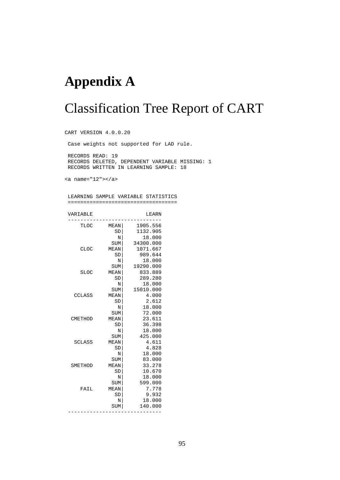# **Appendix A**

# Classification Tree Report of CART

CART VERSION 4.0.0.20

Case weights not supported for LAD rule.

 RECORDS READ: 19 RECORDS DELETED, DEPENDENT VARIABLE MISSING: 1 RECORDS WRITTEN IN LEARNING SAMPLE: 18

<a name="12"></a>

 LEARNING SAMPLE VARIABLE STATISTICS ===================================

| VARIABLE       |                    | LEARN            |
|----------------|--------------------|------------------|
| <b>TLOC</b>    | MEAN               | 1905.556         |
|                | SD                 | 1132.905         |
|                | Ν                  | 18.000           |
|                | SUM                | 34300.000        |
| <b>CLOC</b>    | MEAN               | 1071.667         |
|                | SD                 | 989.644          |
|                | N                  | 18.000           |
|                | SUM                | 19290.000        |
| <b>SLOC</b>    | $\tt MEAN$         | 833.889          |
|                | SD                 | 289.280          |
|                | Ν                  | 18.000           |
|                | SUM                | 15010.000        |
| CCLASS         | MEAN               | 4.000            |
|                | SD                 | 2.612            |
|                | Ν                  | 18,000<br>72.000 |
| <b>CMETHOD</b> | <b>SUM</b><br>MEAN | 23.611           |
|                | SD                 | 36.398           |
|                | Ν                  | 18.000           |
|                | SUM                | 425.000          |
| <b>SCLASS</b>  | MEAN               | 4.611            |
|                | SD <sub>1</sub>    | 4.828            |
|                | Ν                  | 18.000           |
|                | <b>SUM</b>         | 83.000           |
| SMETHOD        | MEAN               | 33.278           |
|                | SD                 | 10.670           |
|                | Ν                  | 18.000           |
|                | <b>SUM</b>         | 599.000          |
| FAIL           | MEAN               | 7.778            |
|                | SD                 | 9.932            |
|                | N                  | 18.000           |
|                | SUM                | 140.000          |
|                |                    |                  |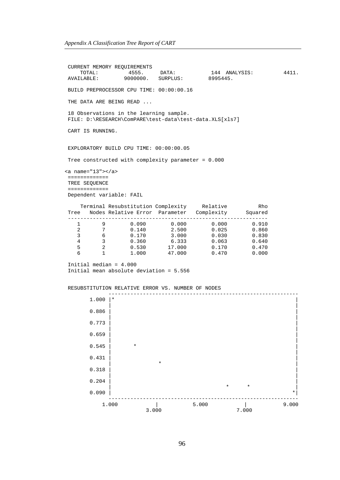CURRENT MEMORY REQUIREMENTS<br>TOTAL: 4555. TOTAL: 4555. DATA: 144 ANALYSIS: 4411. AVAILABLE: 9000000. SURPLUS: 8995445. BUILD PREPROCESSOR CPU TIME: 00:00:00.16 THE DATA ARE BEING READ ... 18 Observations in the learning sample. FILE: D:\RESEARCH\ComPARE\test-data\test-data.XLS[xls7] CART IS RUNNING. EXPLORATORY BUILD CPU TIME: 00:00:00.05 Tree constructed with complexity parameter = 0.000 <a name="13"></a> ============= TREE SEQUENCE ============= Dependent variable: FAIL Terminal Resubstitution Complexity Relative Rho Tree Nodes Relative Error Parameter Complexity Squared ---------------------------------------------------------------- 1 9 0.090 0.000 0.000 0.910 2 7 0.140 2.500 0.025 0.860  $\begin{array}{cccccccc} 1 & 9 & 0.090 & 0.000 & 0.000 & 0.910 \ 2 & 7 & 0.140 & 2.500 & 0.025 & 0.860 \ 3 & 6 & 0.170 & 3.000 & 0.030 & 0.830 \ 4 & 3 & 0.360 & 6.333 & 0.063 & 0.640 \ 5 & 2 & 0.530 & 17.000 & 0.170 & 0.470 \ 6 & 1 & 1.000 & 47.000 & 0.470 & 0.000 \end{array}$  4 3 0.360 6.333 0.063 0.640 5 2 0.530 17.000 0.170 0.470 6 1 1.000 47.000 0.470 0.000 Initial median = 4.000 Initial mean absolute deviation = 5.556 RESUBSTITUTION RELATIVE ERROR VS. NUMBER OF NODES --------------------------------------------------------------  $1.000$  |\* | |  $0.886$  | | | 0.773 | | | |  $0.659$  | | |  $0.545$  | \* | |  $0.431$  | | \* |  $0.318$  | | |  $0.204$  |  $\star$   $\star$   $\star$  $0.090$  | \*|

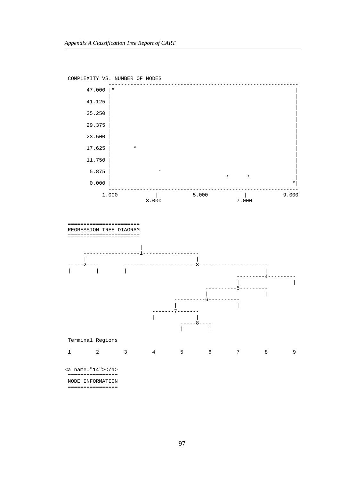

 NODE INFORMATION ================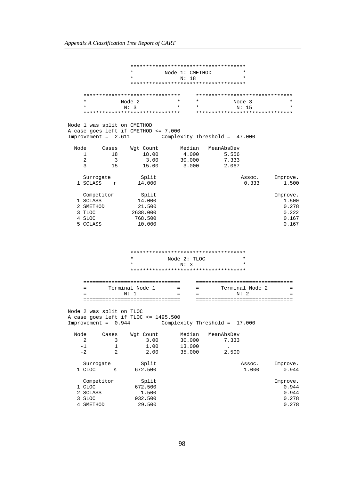|                             |                         |                                                   |                 |                           | *************************************  |                 |          |
|-----------------------------|-------------------------|---------------------------------------------------|-----------------|---------------------------|----------------------------------------|-----------------|----------|
|                             |                         |                                                   | Node 1: CMETHOD |                           |                                        |                 |          |
|                             |                         | $\star$                                           |                 | N: 18                     |                                        | $\star$         |          |
|                             |                         |                                                   |                 |                           | ************************************** |                 |          |
|                             |                         |                                                   |                 |                           |                                        |                 |          |
|                             |                         | ******************************                    |                 |                           | *******************************        |                 |          |
|                             |                         | Node 2                                            |                 |                           |                                        | Node 3          |          |
| $^\star$                    |                         | N: 3                                              | $\star$         | $\star$                   |                                        | N: 15           | $\star$  |
|                             |                         |                                                   |                 |                           |                                        |                 |          |
|                             |                         |                                                   |                 |                           |                                        |                 |          |
| Node 1 was split on CMETHOD |                         |                                                   |                 |                           |                                        |                 |          |
|                             |                         | A case goes left if CMETHOD <= 7.000              |                 |                           |                                        |                 |          |
|                             |                         | Improvement = 2.611 Complexity Threshold = 47.000 |                 |                           |                                        |                 |          |
| Node                        | Cases                   | Wgt Count                                         |                 | Median                    | MeanAbsDev                             |                 |          |
| $\mathbf 1$                 | 18                      | 18.00                                             |                 | 4.000                     | 5.556                                  |                 |          |
| $\overline{2}$              | $\overline{\mathbf{3}}$ | 3.00                                              |                 | 30.000                    | 7.333                                  |                 |          |
| 3                           | 15                      | 15.00                                             |                 | 3.000                     | 2.067                                  |                 |          |
|                             |                         |                                                   |                 |                           |                                        |                 |          |
|                             | Surrogate               | Split                                             |                 |                           |                                        | Assoc.          | Improve. |
|                             | 1 SCLASS r              | 14.000                                            |                 |                           |                                        | 0.333           | 1.500    |
|                             |                         |                                                   |                 |                           |                                        |                 |          |
|                             | Competitor              | Split                                             |                 |                           |                                        |                 | Improve. |
| 1 SCLASS                    |                         | 14.000                                            |                 |                           |                                        |                 | 1.500    |
| 2 SMETHOD                   |                         | 21.500                                            |                 |                           |                                        |                 | 0.278    |
| 3 TLOC                      |                         | 2638.000                                          |                 |                           |                                        |                 | 0.222    |
| 4 SLOC                      |                         | 768.500                                           |                 |                           |                                        |                 | 0.167    |
| 5 CCLASS                    |                         | 10.000                                            |                 |                           |                                        |                 | 0.167    |
|                             |                         |                                                   |                 |                           |                                        |                 |          |
|                             |                         |                                                   |                 |                           |                                        |                 |          |
|                             |                         |                                                   |                 |                           |                                        |                 |          |
|                             |                         |                                                   |                 |                           |                                        |                 |          |
|                             |                         |                                                   |                 |                           |                                        |                 |          |
|                             |                         |                                                   |                 |                           | ************************************** |                 |          |
|                             |                         | $\star$                                           | Node 2: TLOC    |                           |                                        | $\star$         |          |
|                             |                         | $\star$                                           |                 | N: 3                      |                                        | $\star$         |          |
|                             |                         |                                                   |                 |                           | ************************************** |                 |          |
|                             |                         |                                                   |                 |                           |                                        |                 |          |
|                             |                         | =================================                 |                 |                           | ================================       |                 |          |
| $=$                         |                         | Terminal Node 1                                   | $=$             | $=$                       |                                        | Terminal Node 2 | $=$      |
| $=$                         |                         | N: 1                                              | $=$             | $\mathbf{r} = \mathbf{r}$ |                                        | N:2             | $=$      |
|                             |                         | -------------------------------                   |                 |                           | =================================      |                 |          |
|                             |                         |                                                   |                 |                           |                                        |                 |          |
| Node 2 was split on TLOC    |                         |                                                   |                 |                           |                                        |                 |          |
|                             |                         | A case goes left if TLOC <= 1495.500              |                 |                           |                                        |                 |          |
| Improvement =               | 0.944                   |                                                   |                 |                           | Complexity Threshold = $17.000$        |                 |          |
|                             |                         |                                                   |                 |                           |                                        |                 |          |
| Node                        | Cases                   | Wgt Count                                         |                 | Median                    | MeanAbsDev                             |                 |          |
| 2                           | 3                       | 3.00                                              |                 | 30.000                    | 7.333                                  |                 |          |
| $-1$                        | $\mathbf{1}$            | 1.00                                              |                 | 13.000                    | $\bullet$                              |                 |          |
| $-2$                        | 2                       | 2.00                                              |                 | 35.000                    | 2.500                                  |                 |          |
|                             |                         |                                                   |                 |                           |                                        |                 |          |
|                             | Surrogate               | Split                                             |                 |                           |                                        | Assoc.          | Improve. |
| 1 CLOC                      | S                       | 672.500                                           |                 |                           |                                        | 1.000           | 0.944    |
|                             |                         |                                                   |                 |                           |                                        |                 |          |
|                             | Competitor              | Split                                             |                 |                           |                                        |                 | Improve. |
| 1 CLOC                      |                         | 672.500                                           |                 |                           |                                        |                 | 0.944    |
| 2 SCLASS                    |                         | 1.500                                             |                 |                           |                                        |                 | 0.944    |
| 3 SLOC                      |                         | 932.500                                           |                 |                           |                                        |                 | 0.278    |
| 4 SMETHOD                   |                         | 29.500                                            |                 |                           |                                        |                 | 0.278    |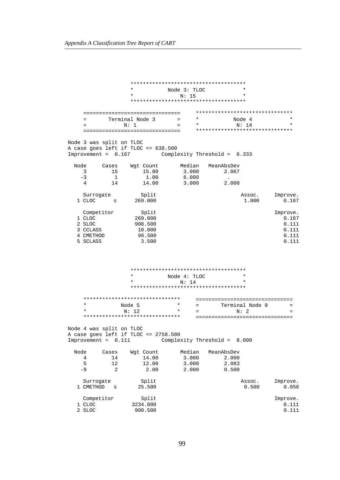|                          |                          |                                                        | *************************************           |                                                  |                |
|--------------------------|--------------------------|--------------------------------------------------------|-------------------------------------------------|--------------------------------------------------|----------------|
|                          |                          |                                                        | Node 3: TLOC                                    |                                                  |                |
|                          |                          |                                                        | N: 15                                           |                                                  |                |
|                          |                          |                                                        | **************************************          |                                                  |                |
|                          |                          |                                                        |                                                 | *******************************                  |                |
|                          |                          | =================================<br>Terminal Node 3 = |                                                 | Node 4                                           | $\star$        |
| $=$                      |                          | N: 1                                                   | $\star$<br>$=$                                  | N: 14                                            | $^\star$       |
|                          |                          | ==================================                     |                                                 | *******************************                  |                |
|                          |                          |                                                        |                                                 |                                                  |                |
| Node 3 was split on TLOC |                          |                                                        |                                                 |                                                  |                |
|                          |                          | A case goes left if TLOC <= 638.500                    |                                                 |                                                  |                |
|                          |                          |                                                        |                                                 | Improvement = 0.167 Complexity Threshold = 6.333 |                |
|                          |                          |                                                        |                                                 |                                                  |                |
| Node                     | Cases                    | Wgt Count                                              | Median MeanAbsDev                               |                                                  |                |
| 3                        | 15                       | 15.00                                                  | 3.000                                           | 2.067                                            |                |
| $-3$                     | $\overline{\phantom{a}}$ | 1.00                                                   | 6.000                                           | $\sim 10^{-10}$ km $^{-1}$                       |                |
| $4\degree$               | 14                       | 14.00                                                  | 3.000                                           | 2.000                                            |                |
|                          |                          |                                                        |                                                 |                                                  |                |
|                          | Surrogate                | Split                                                  |                                                 | Assoc.                                           | Improve.       |
|                          | 1 CLOC s                 | 269.000                                                |                                                 | 1.000                                            | 0.167          |
|                          |                          |                                                        |                                                 |                                                  |                |
|                          | Competitor               | Split                                                  |                                                 |                                                  | Improve.       |
| 1 CLOC                   |                          | 269,000                                                |                                                 |                                                  | 0.167          |
| 2 SLOC                   |                          | 908.500                                                |                                                 |                                                  | 0.111          |
| 3 CCLASS                 |                          | 10.000                                                 |                                                 |                                                  | 0.111          |
| 4 CMETHOD<br>5 SCLASS    |                          | 96.500                                                 |                                                 |                                                  | 0.111<br>0.111 |
|                          |                          | 3.500                                                  |                                                 |                                                  |                |
|                          |                          |                                                        |                                                 |                                                  |                |
|                          |                          |                                                        |                                                 |                                                  |                |
|                          |                          |                                                        |                                                 |                                                  |                |
|                          |                          |                                                        |                                                 |                                                  |                |
|                          |                          |                                                        |                                                 |                                                  |                |
|                          |                          |                                                        | *************************************           |                                                  |                |
|                          |                          | $\star$                                                | Node 4: TLOC                                    | $\star$                                          |                |
|                          |                          |                                                        | N: 14<br>************************************** |                                                  |                |
|                          |                          |                                                        |                                                 |                                                  |                |
|                          |                          | *******************************                        |                                                 | ==================================               |                |
| $^\star$                 |                          | Node 5                                                 | $\ast$<br>$=$                                   | Terminal Node 9                                  | $=$            |
| $\ast$                   |                          | N: 12                                                  | $\star$                                         | N:2                                              | $=$            |
|                          |                          | *******************************                        |                                                 | ==================================               |                |
|                          |                          |                                                        |                                                 |                                                  |                |
| Node 4 was split on TLOC |                          |                                                        |                                                 |                                                  |                |
|                          |                          | A case goes left if TLOC <= 2758.500                   |                                                 |                                                  |                |
| $Improvement = 0.111$    |                          |                                                        |                                                 | Complexity Threshold = $8.000$                   |                |
|                          |                          |                                                        |                                                 |                                                  |                |
| Node                     | Cases                    | Wgt Count                                              | Median                                          | MeanAbsDev                                       |                |
| 4                        | 14                       | 14.00                                                  | 3.000                                           | 2.000                                            |                |
| 5                        | 12                       | 12.00                                                  | 3.000                                           | 2.083                                            |                |
| -9                       | 2                        | 2.00                                                   | 2.000                                           | 0.500                                            |                |
|                          |                          |                                                        |                                                 |                                                  |                |
|                          | Surrogate                | Split                                                  |                                                 | Assoc.                                           | Improve.       |
| 1 CMETHOD                | S                        | 25.500                                                 |                                                 | 0.500                                            | 0.056          |
|                          |                          |                                                        |                                                 |                                                  |                |
|                          | Competitor               | Split                                                  |                                                 |                                                  | Improve.       |
| 1 CLOC<br>2 SLOC         |                          | 3234.000<br>908.500                                    |                                                 |                                                  | 0.111<br>0.111 |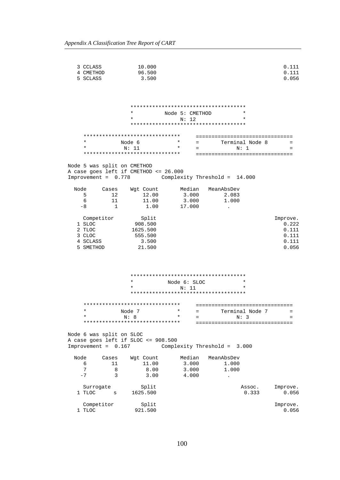| 3 CCLASS<br>4 CMETHOD<br>5 SCLASS |                | 10.000<br>96.500<br>3.500                |                 |        |                                                  | 0.111<br>0.111<br>0.056 |
|-----------------------------------|----------------|------------------------------------------|-----------------|--------|--------------------------------------------------|-------------------------|
|                                   |                |                                          |                 |        | *************************************            |                         |
|                                   |                | $\ast$                                   | Node 5: CMETHOD |        | $^\star$                                         |                         |
|                                   |                | $\star$                                  |                 | N: 12  | $\star$                                          |                         |
|                                   |                |                                          |                 |        | *************************************            |                         |
|                                   |                | *******************************          |                 |        | =================================                |                         |
|                                   |                | Node 6                                   |                 |        | Terminal Node 8                                  | $=$                     |
| $^\star$                          |                | N: 11<br>******************************* | $\ast$          |        | N: 1                                             | $\equiv$                |
|                                   |                |                                          |                 |        | =================================                |                         |
| Node 5 was split on CMETHOD       |                |                                          |                 |        |                                                  |                         |
|                                   |                | A case goes left if CMETHOD <= 26.000    |                 |        |                                                  |                         |
| $Improvement = 0.778$             |                |                                          |                 |        | Complexity Threshold = $14.000$                  |                         |
| Node                              | Cases          | Wgt Count                                |                 |        | Median MeanAbsDev                                |                         |
| 5                                 | 12             | 12.00                                    |                 | 3.000  | 2.083                                            |                         |
| 6                                 | 11             | 11.00                                    |                 | 3.000  | 1.000                                            |                         |
| -8                                | $\overline{1}$ | 1.00                                     |                 | 17.000 |                                                  |                         |
|                                   | Competitor     | Split                                    |                 |        |                                                  | Improve.                |
| 1 SLOC                            |                | 908.500                                  |                 |        |                                                  | 0.222                   |
| 2 TLOC                            |                | 1625.500                                 |                 |        |                                                  | 0.111                   |
| 3 CLOC                            |                | 555.500                                  |                 |        |                                                  | 0.111                   |
| 4 SCLASS                          |                | 3.500                                    |                 |        |                                                  | 0.111                   |
| 5 SMETHOD                         |                | 21.500                                   |                 |        |                                                  | 0.056                   |
|                                   |                |                                          |                 |        |                                                  |                         |
|                                   |                |                                          |                 |        |                                                  |                         |
|                                   |                |                                          |                 |        |                                                  |                         |
|                                   |                | $\star$                                  | Node 6: SLOC    |        | *************************************<br>$\star$ |                         |
|                                   |                | $\star$                                  |                 | N: 11  | $\star$                                          |                         |
|                                   |                |                                          |                 |        | **************************************           |                         |
|                                   |                |                                          |                 |        |                                                  |                         |
| $\star$                           |                | *******************************          | $^\star$        |        | ================================                 |                         |
|                                   |                | Node 7<br>N: 8                           |                 | $=$    | Terminal Node 7<br>N: 3                          | $=$                     |
|                                   |                | *******************************          |                 |        | ================================                 |                         |
|                                   |                |                                          |                 |        |                                                  |                         |
| Node 6 was split on SLOC          |                |                                          |                 |        |                                                  |                         |
|                                   |                | A case goes left if SLOC <= 908.500      |                 |        |                                                  |                         |
| Improvement = $0.167$             |                |                                          |                 |        | Complexity Threshold = $3.000$                   |                         |
| Node                              | Cases          | Wgt Count                                |                 | Median | MeanAbsDev                                       |                         |
| 6                                 | 11             | 11.00                                    |                 | 3.000  | 1.000                                            |                         |
| 7                                 | 8              | 8.00                                     |                 | 3.000  | 1.000                                            |                         |
| $-7$                              | 3              | 3.00                                     |                 | 4.000  | $\cdot$                                          |                         |
|                                   | Surrogate      | Split                                    |                 |        | Assoc.                                           | Improve.                |
| 1 TLOC                            | S              | 1625.500                                 |                 |        | 0.333                                            | 0.056                   |
|                                   |                |                                          |                 |        |                                                  |                         |
|                                   | Competitor     | Split                                    |                 |        |                                                  | Improve.                |
| 1 TLOC                            |                | 921.500                                  |                 |        |                                                  | 0.056                   |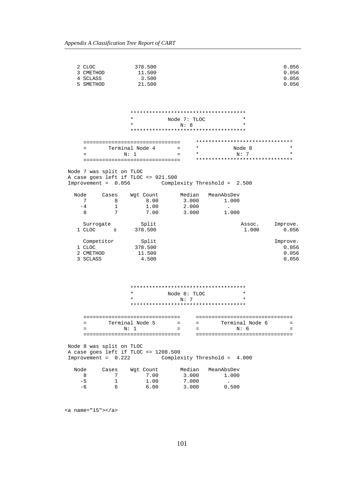| 2 CLOC<br>3 CMETHOD<br>4 SCLASS<br>5 SMETHOD                                                                        |                                           | 378.500<br>11.500<br>3.500<br>21.500 |                                   |         |                                                                                                                  |                      | 0.056<br>0.056<br>0.056<br>0.056 |
|---------------------------------------------------------------------------------------------------------------------|-------------------------------------------|--------------------------------------|-----------------------------------|---------|------------------------------------------------------------------------------------------------------------------|----------------------|----------------------------------|
|                                                                                                                     |                                           |                                      |                                   |         | *************************************                                                                            |                      |                                  |
|                                                                                                                     | $^\star$                                  |                                      | Node 7: TLOC                      |         |                                                                                                                  | $\ast$               |                                  |
|                                                                                                                     |                                           |                                      | N: 8                              |         |                                                                                                                  | $\star$              |                                  |
|                                                                                                                     |                                           |                                      |                                   |         | **************************************                                                                           |                      |                                  |
|                                                                                                                     | =================================         |                                      |                                   |         | *******************************                                                                                  |                      |                                  |
|                                                                                                                     | Terminal Node 4                           |                                      | <b>Service State</b>              | $\star$ |                                                                                                                  | Node 8               | $\star$                          |
| $=$                                                                                                                 | N: 1<br>================================= |                                      | $=$                               | $\star$ | *******************************                                                                                  | N: 7                 | $\star$                          |
| Node 7 was split on TLOC<br>A case goes left if TLOC <= 921.500<br>Improvement = 0.056 Complexity Threshold = 2.500 |                                           |                                      |                                   |         |                                                                                                                  |                      |                                  |
| Node<br>7                                                                                                           | Cases                                     | Wgt Count<br>8.00                    | 3.000                             |         | Median MeanAbsDev<br>1,000                                                                                       |                      |                                  |
| -4                                                                                                                  | 8<br>1                                    | 1.00                                 | 2.000                             |         | $\sim 100$ km s $^{-1}$                                                                                          |                      |                                  |
| 8                                                                                                                   | 7                                         | 7.00                                 | 3.000                             |         | 1.000                                                                                                            |                      |                                  |
| Surrogate<br>1 CLOC s                                                                                               |                                           | Split<br>378.500                     |                                   |         |                                                                                                                  | Assoc.<br>1.000      | Improve.<br>0.056                |
| Competitor                                                                                                          |                                           | Split                                |                                   |         |                                                                                                                  |                      | Improve.                         |
| 1 CLOC                                                                                                              |                                           | 378.500                              |                                   |         |                                                                                                                  |                      | 0.056                            |
| 2 CMETHOD                                                                                                           |                                           | 11.500                               |                                   |         |                                                                                                                  |                      | 0.056                            |
| 3 SCLASS                                                                                                            |                                           | 4.500                                |                                   |         |                                                                                                                  |                      | 0.056                            |
|                                                                                                                     | $\star$<br>$^\star$                       |                                      | Node 8: TLOC<br>N: 7              |         | *************************************<br>**************************************                                  | $^\star$<br>$^\star$ |                                  |
|                                                                                                                     | =================================         |                                      |                                   |         | ================================                                                                                 |                      |                                  |
| $=$                                                                                                                 | Terminal Node 5                           |                                      | $=$                               | $=$     |                                                                                                                  | Terminal Node 6      | $=$                              |
| $=$                                                                                                                 | N: 1<br>================================= |                                      | $=$                               | $=$     |                                                                                                                  | N: 6                 | $=$                              |
| Node 8 was split on TLOC<br>A case goes left if TLOC <= 1208.500<br>$Improvement = 0.222$<br>Node<br>8<br>-5<br>-6  | Cases<br>7<br>1<br>6                      | Wgt Count<br>7.00<br>1.00<br>6.00    | Median<br>3.000<br>7.000<br>3.000 |         | =================================<br>Complexity Threshold = $4.000$<br>MeanAbsDev<br>1.000<br>$\bullet$<br>0.500 |                      |                                  |

<a name="15"></a>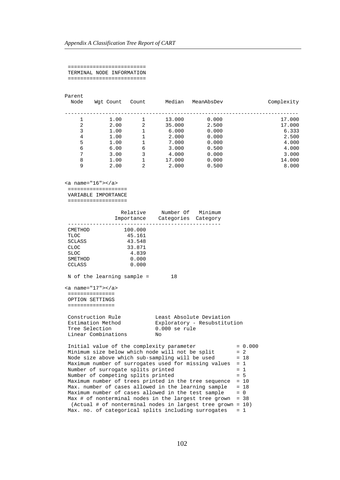========================= TERMINAL NODE INFORMATION =========================

Parent

| Node          |                                                                      |                                   | Wgt Count Count Median MeanAbsDev                            |       | Complexity |
|---------------|----------------------------------------------------------------------|-----------------------------------|--------------------------------------------------------------|-------|------------|
| 1             | 1.00                                                                 | $1 \qquad \qquad$                 | 13.000                                                       | 0.000 | 17.000     |
| 2             | 2.00                                                                 | $\overline{2}$ and $\overline{2}$ | 35.000                                                       | 2.500 | 17.000     |
| 3             | 1.00                                                                 | $1 \quad \blacksquare$            | 6.000                                                        | 0.000 | 6.333      |
| 4             | 1.00                                                                 | $\mathbf{1}$                      | 2.000                                                        | 0.000 | 2.500      |
| 5             | 1.00                                                                 | $\mathbf{1}$                      | 7.000                                                        | 0.000 | 4.000      |
| 6             | 6.00                                                                 | 6                                 | 3.000                                                        | 0.500 | 4.000      |
| 7             | 3.00                                                                 | 3                                 | 4.000                                                        | 0.000 | 3.000      |
| 8             | 1.00                                                                 | $\mathbf{1}$                      | 17.000                                                       | 0.000 | 14.000     |
| 9             | 2.00                                                                 | 2                                 | 2.000                                                        | 0.500 | 8.000      |
|               | $ name="16">===================VARIABLE IMPORTANCE=================$ |                                   |                                                              |       |            |
|               |                                                                      |                                   | Relative Number Of Minimum<br>Importance Categories Category |       |            |
| CMETHOD       |                                                                      | 100.000                           |                                                              |       |            |
| <b>TLOC</b>   |                                                                      | 45.161                            |                                                              |       |            |
| <b>SCLASS</b> |                                                                      | 43.548                            |                                                              |       |            |
| <b>CLOC</b>   |                                                                      | 33.871                            |                                                              |       |            |
| <b>SLOC</b>   |                                                                      | 4.839                             |                                                              |       |            |
| SMETHOD       |                                                                      | 0.000                             |                                                              |       |            |

N of the learning sample = 18

CCLASS 0.000

<a name="17"></a> =============== OPTION SETTINGS ===============

Construction Rule Least Absolute Deviation<br>Extimation Method Exploratory - Resubstitute Exploratory - Resubstitution<br>0.000 se rule Tree Selection 1.<br>
Linear Combinations 1.000 No Linear Combinations

Initial value of the complexity parameter  $= 0.000$ <br>Minimum size below which node will not be split  $= 2$ <br>Node size above which  $= 2$ Minimum size below which node will not be split Node size above which sub-sampling will be used  $= 18$ Maximum number of surrogates used for missing values = 1 Number of surrogate splits printed = 1 Number of competing splits printed = 5 Maximum number of trees printed in the tree sequence = 10 Max. number of cases allowed in the learning sample = 18 Maximum number of cases allowed in the test sample  $= 0$  Max # of nonterminal nodes in the largest tree grown = 38 (Actual # of nonterminal nodes in largest tree grown = 10) Max. no. of categorical splits including surrogates  $= 1$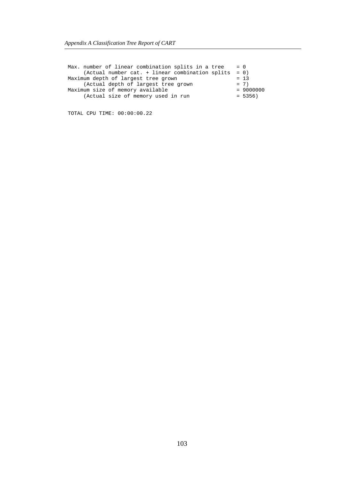| Max. number of linear combination splits in a tree | $= 0$       |
|----------------------------------------------------|-------------|
| (Actual number cat. + linear combination splits)   | $= 0)$      |
| Maximum depth of largest tree grown                | $= 1.3$     |
| (Actual depth of largest tree grown                | $= 7)$      |
| Maximum size of memory available                   | $= 9000000$ |
| (Actual size of memory used in run                 | $= 5356$    |

TOTAL CPU TIME: 00:00:00.22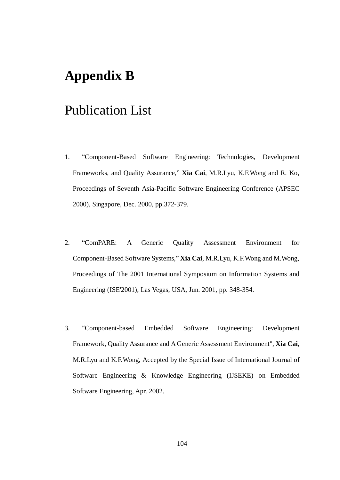## **Appendix B**

## Publication List

- 1. "Component-Based Software Engineering: Technologies, Development Frameworks, and Quality Assurance," **Xia Cai**, M.R.Lyu, K.F.Wong and R. Ko, Proceedings of Seventh Asia-Pacific Software Engineering Conference (APSEC 2000), Singapore, Dec. 2000, pp.372-379.
- 2. "ComPARE: A Generic Quality Assessment Environment for Component-Based Software Systems," **Xia Cai**, M.R.Lyu, K.F.Wong and M.Wong, Proceedings of The 2001 International Symposium on Information Systems and Engineering (ISE'2001), Las Vegas, USA, Jun. 2001, pp. 348-354.
- 3. "Component-based Embedded Software Engineering: Development Framework, Quality Assurance and A Generic Assessment Environment", **Xia Cai**, M.R.Lyu and K.F.Wong, Accepted by the Special Issue of International Journal of Software Engineering & Knowledge Engineering (IJSEKE) on Embedded Software Engineering, Apr. 2002.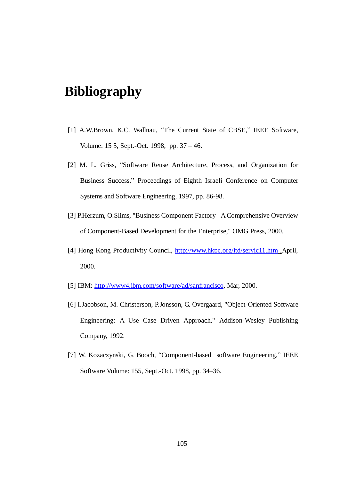## **Bibliography**

- [1] A.W.Brown, K.C. Wallnau, "The Current State of CBSE," IEEE Software, Volume: 15 5, Sept.-Oct. 1998, pp. 37 – 46.
- [2] M. L. Griss, "Software Reuse Architecture, Process, and Organization for Business Success," Proceedings of Eighth Israeli Conference on Computer Systems and Software Engineering, 1997, pp. 86-98.
- [3] P.Herzum, O.Slims, "Business Component Factory AComprehensive Overview of Component-Based Development for the Enterprise," OMG Press, 2000.
- [4] Hong Kong Productivity Council, <http://www.hkpc.org/itd/servic11.htm> ,April, 2000.
- [5] IBM: <http://www4.ibm.com/software/ad/sanfrancisco>, Mar, 2000.
- [6] I.Jacobson, M. Christerson, P.Jonsson, G. Overgaard, "Object-Oriented Software Engineering: A Use Case Driven Approach," Addison-Wesley Publishing Company, 1992.
- [7] W. Kozaczynski, G. Booch, "Component-based software Engineering," IEEE Software Volume: 155, Sept.-Oct. 1998, pp. 34–36.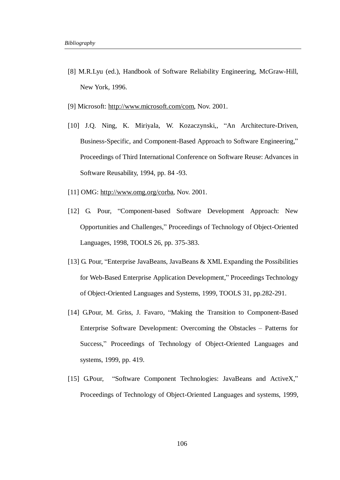- [8] M.R.Lyu (ed.), Handbook of Software Reliability Engineering, McGraw-Hill, New York, 1996.
- [9] Microsoft: [http://www.microsoft.com/com,](http://www.microsoft.com/com) Nov. 2001.
- [10] J.Q. Ning, K. Miriyala, W. Kozaczynski,, "An Architecture-Driven, Business-Specific, and Component-Based Approach to Software Engineering," Proceedings of Third International Conference on Software Reuse: Advances in Software Reusability, 1994, pp. 84 -93.
- [11] OMG: [http://www.omg.org/corba,](http://www.omg.org/corba) Nov. 2001.
- [12] G. Pour, "Component-based Software Development Approach: New Opportunities and Challenges," Proceedings of Technology of Object-Oriented Languages, 1998, TOOLS 26, pp. 375-383.
- [13] G. Pour, "Enterprise JavaBeans, JavaBeans & XML Expanding the Possibilities for Web-Based Enterprise Application Development," Proceedings Technology of Object-Oriented Languages and Systems, 1999, TOOLS 31, pp.282-291.
- [14] G.Pour, M. Griss, J. Favaro, "Making the Transition to Component-Based Enterprise Software Development: Overcoming the Obstacles – Patterns for Success," Proceedings of Technology of Object-Oriented Languages and systems, 1999, pp. 419.
- [15] G.Pour, "Software Component Technologies: JavaBeans and ActiveX," Proceedings of Technology of Object-Oriented Languages and systems, 1999,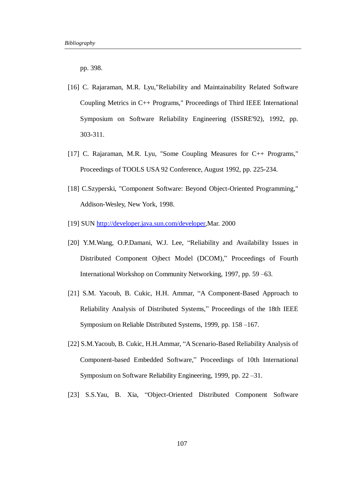pp. 398.

- [16] C. Rajaraman, M.R. Lyu,"Reliability and Maintainability Related Software Coupling Metrics in C++ Programs," Proceedings of Third IEEE International Symposium on Software Reliability Engineering (ISSRE'92), 1992, pp. 303-311.
- [17] C. Rajaraman, M.R. Lyu, "Some Coupling Measures for C++ Programs," Proceedings of TOOLS USA 92 Conference, August 1992, pp. 225-234.
- [18] C.Szyperski, "Component Software: Beyond Object-Oriented Programming," Addison-Wesley, New York, 1998.
- [19] SUN [http://developer.java.sun.com/developer,](http://developer.java.sun.com/developer)Mar. 2000
- [20] Y.M.Wang, O.P.Damani, W.J. Lee, "Reliability and Availability Issues in Distributed Component Ojbect Model (DCOM)," Proceedings of Fourth International Workshop on Community Networking, 1997, pp. 59 –63.
- [21] S.M. Yacoub, B. Cukic, H.H. Ammar, "A Component-Based Approach to Reliability Analysis of Distributed Systems," Proceedings of the 18th IEEE Symposium on Reliable Distributed Systems, 1999, pp. 158 –167.
- [22] S.M.Yacoub, B. Cukic, H.H.Ammar, "A Scenario-Based Reliability Analysis of Component-based Embedded Software," Proceedings of 10th International Symposium on Software Reliability Engineering, 1999, pp. 22 –31.
- [23] S.S.Yau, B. Xia, "Object-Oriented Distributed Component Software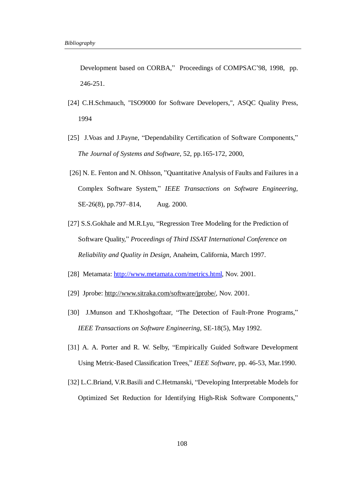Development based on CORBA," Proceedings of COMPSAC'98, 1998, pp. 246-251.

- [24] C.H.Schmauch, "ISO9000 for Software Developers,", ASQC Quality Press, 1994
- [25] J.Voas and J.Payne, "Dependability Certification of Software Components," *The Journal of Systems and Software,* 52, pp.165-172, 2000,
- [26] N. E. Fenton and N. Ohlsson, "Quantitative Analysis of Faults and Failures in a Complex Software System," *IEEE Transactions on Software Engineering,* SE-26(8), pp.797–814, Aug. 2000.
- [27] S.S.Gokhale and M.R.Lyu, "Regression Tree Modeling for the Prediction of Software Quality," *Proceedings of Third ISSAT International Conference on Reliability and Quality in Design,* Anaheim, California, March 1997.
- [28] Metamata: [http://www.metamata.com/metrics.html,](http://www.metamata.com/metrics.html) Nov. 2001.
- [29] Jprobe: [http://www.sitraka.com/software/jprobe/,](http://www.sitraka.com/software/jprobe/) Nov. 2001.
- [30] J.Munson and T.Khoshgoftaar, "The Detection of Fault-Prone Programs," *IEEE Transactions on Software Engineering,* SE-18(5), May 1992.
- [31] A. A. Porter and R. W. Selby, "Empirically Guided Software Development Using Metric-Based Classification Trees," *IEEE Software,* pp. 46-53, Mar.1990.
- [32] L.C.Briand, V.R.Basili and C.Hetmanski, "Developing Interpretable Models for Optimized Set Reduction for Identifying High-Risk Software Components,"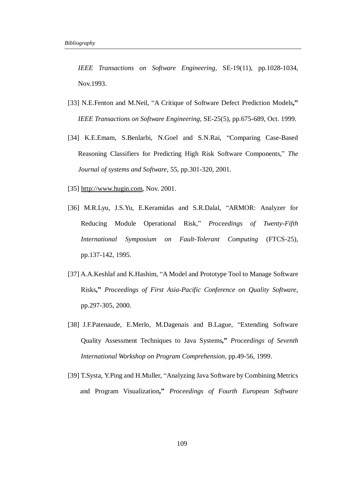*IEEE Transactions on Software Engineering,* SE-19(11), pp.1028-1034, Nov.1993.

- [33] N.E.Fenton and M.Neil, "A Critique of Software Defect Prediction Models**,"**  *IEEE Transactions on Software Engineering,* SE-25(5), pp.675-689, Oct. 1999.
- [34] K.E.Emam, S.Benlarbi, N.Goel and S.N.Rai, "Comparing Case-Based Reasoning Classifiers for Predicting High Risk Software Components," *The Journal of systems and Software,* 55, pp.301-320, 2001.
- [35] <http://www.hugin.com>, Nov. 2001.
- [36] M.R.Lyu, J.S.Yu, E.Keramidas and S.R.Dalal, "ARMOR: Analyzer for Reducing Module Operational Risk," *Proceedings of Twenty-Fifth International Symposium on Fault-Tolerant Computing* (FTCS-25), pp.137-142, 1995.
- [37] A.A.Keshlaf and K.Hashim, "A Model and Prototype Tool to Manage Software Risks**,"** *Proceedings of First Asia-Pacific Conference on Quality Software,*  pp.297-305, 2000.
- [38] J.F.Patenaude, E.Merlo, M.Dagenais and B.Lague, "Extending Software Quality Assessment Techniques to Java Systems**,"** *Proceedings of Seventh International Workshop on Program Comprehension,* pp.49-56, 1999.
- [39] T.Systa, Y.Ping and H.Muller, "Analyzing Java Software by Combining Metrics and Program Visualization**,"** *Proceedings of Fourth European Software*